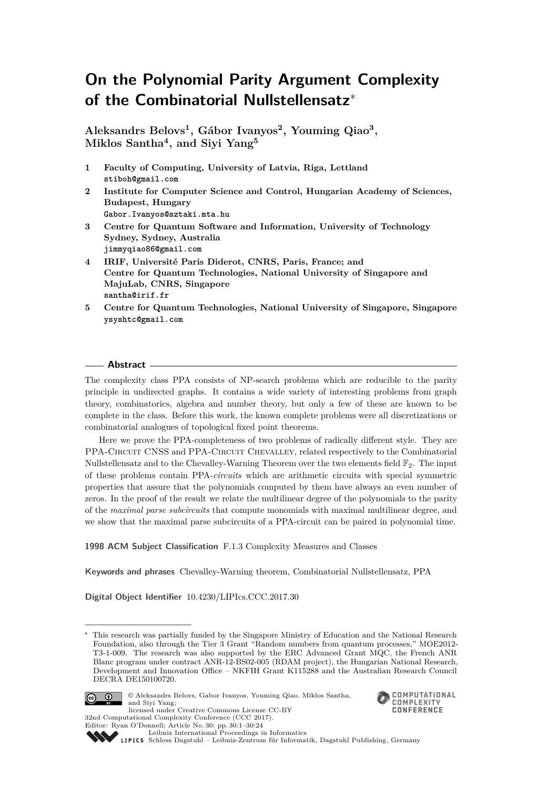# **On the Polynomial Parity Argument Complexity of the Combinatorial Nullstellensatz**<sup>∗</sup>

**Aleksandrs Belovs<sup>1</sup> , Gábor Ivanyos<sup>2</sup> , Youming Qiao<sup>3</sup> , Miklos Santha<sup>4</sup> , and Siyi Yang<sup>5</sup>**

- **1 Faculty of Computing, University of Latvia, Riga, Lettland stiboh@gmail.com**
- **2 Institute for Computer Science and Control, Hungarian Academy of Sciences, Budapest, Hungary Gabor.Ivanyos@sztaki.mta.hu**
- **3 Centre for Quantum Software and Information, University of Technology Sydney, Sydney, Australia jimmyqiao86@gmail.com**
- **4 IRIF, Université Paris Diderot, CNRS, Paris, France; and Centre for Quantum Technologies, National University of Singapore and MajuLab, CNRS, Singapore santha@irif.fr**
- **5 Centre for Quantum Technologies, National University of Singapore, Singapore ysyshtc@gmail.com**

## **Abstract**

The complexity class PPA consists of NP-search problems which are reducible to the parity principle in undirected graphs. It contains a wide variety of interesting problems from graph theory, combinatorics, algebra and number theory, but only a few of these are known to be complete in the class. Before this work, the known complete problems were all discretizations or combinatorial analogues of topological fixed point theorems.

Here we prove the PPA-completeness of two problems of radically different style. They are PPA-CIRCUIT CNSS and PPA-CIRCUIT CHEVALLEY, related respectively to the Combinatorial Nullstellensatz and to the Chevalley-Warning Theorem over the two elements field  $\mathbb{F}_2$ . The input of these problems contain PPA-*circuits* which are arithmetic circuits with special symmetric properties that assure that the polynomials computed by them have always an even number of zeros. In the proof of the result we relate the multilinear degree of the polynomials to the parity of the *maximal parse subcircuits* that compute monomials with maximal multilinear degree, and we show that the maximal parse subcircuits of a PPA-circuit can be paired in polynomial time.

**1998 ACM Subject Classification** F.1.3 Complexity Measures and Classes

**Keywords and phrases** Chevalley-Warning theorem, Combinatorial Nullstellensatz, PPA

**Digital Object Identifier** [10.4230/LIPIcs.CCC.2017.30](http://dx.doi.org/10.4230/LIPIcs.CCC.2017.30)

This research was partially funded by the Singapore Ministry of Education and the National Research Foundation, also through the Tier 3 Grant "Random numbers from quantum processes," MOE2012- T3-1-009. The research was also supported by the ERC Advanced Grant MQC, the French ANR Blanc program under contract ANR-12-BS02-005 (RDAM project), the Hungarian National Research, Development and Innovation Office – NKFIH Grant K115288 and the Australian Research Council DECRA DE150100720.



© Aleksandrs Belovs, Gabor Ivanyos, Youming Qiao, Miklos Santha, and Siyi Yang; licensed under Creative Commons License CC-BY



[Schloss Dagstuhl – Leibniz-Zentrum für Informatik, Dagstuhl Publishing, Germany](http://www.dagstuhl.de)

<sup>32</sup>nd Computational Complexity Conference (CCC 2017). Editor: Ryan O'Donnell; Article No. 30; pp. 30:1–30[:24](#page-23-0)

[Leibniz International Proceedings in Informatics](http://www.dagstuhl.de/lipics/)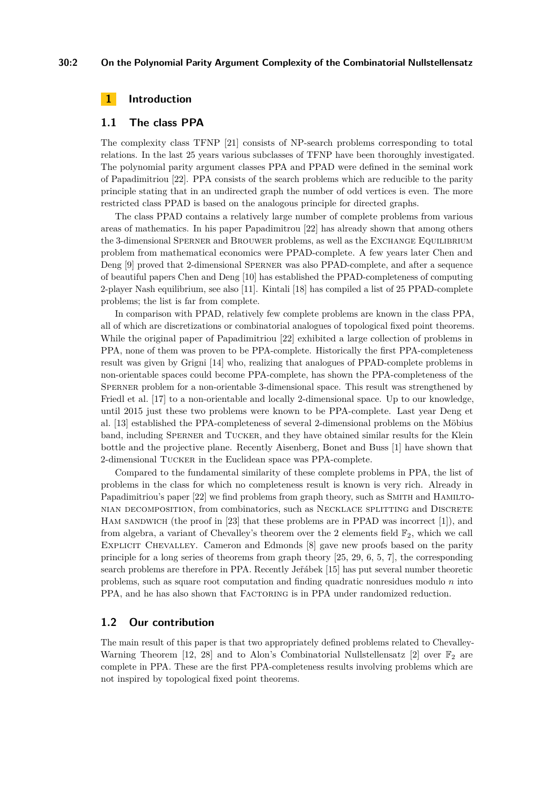# **30:2 On the Polynomial Parity Argument Complexity of the Combinatorial Nullstellensatz**

# **1 Introduction**

## **1.1 The class PPA**

The complexity class TFNP [\[21\]](#page-23-1) consists of NP-search problems corresponding to total relations. In the last 25 years various subclasses of TFNP have been thoroughly investigated. The polynomial parity argument classes PPA and PPAD were defined in the seminal work of Papadimitriou [\[22\]](#page-23-2). PPA consists of the search problems which are reducible to the parity principle stating that in an undirected graph the number of odd vertices is even. The more restricted class PPAD is based on the analogous principle for directed graphs.

The class PPAD contains a relatively large number of complete problems from various areas of mathematics. In his paper Papadimitrou [\[22\]](#page-23-2) has already shown that among others the 3-dimensional SPERNER and BROUWER problems, as well as the EXCHANGE EQUILIBRIUM problem from mathematical economics were PPAD-complete. A few years later Chen and Deng [\[9\]](#page-23-3) proved that 2-dimensional SPERNER was also PPAD-complete, and after a sequence of beautiful papers Chen and Deng [\[10\]](#page-23-4) has established the PPAD-completeness of computing 2-player Nash equilibrium, see also [\[11\]](#page-23-5). Kintali [\[18\]](#page-23-6) has compiled a list of 25 PPAD-complete problems; the list is far from complete.

In comparison with PPAD, relatively few complete problems are known in the class PPA, all of which are discretizations or combinatorial analogues of topological fixed point theorems. While the original paper of Papadimitriou [\[22\]](#page-23-2) exhibited a large collection of problems in PPA, none of them was proven to be PPA-complete. Historically the first PPA-completeness result was given by Grigni [\[14\]](#page-23-7) who, realizing that analogues of PPAD-complete problems in non-orientable spaces could become PPA-complete, has shown the PPA-completeness of the Sperner problem for a non-orientable 3-dimensional space. This result was strengthened by Friedl et al. [\[17\]](#page-23-8) to a non-orientable and locally 2-dimensional space. Up to our knowledge, until 2015 just these two problems were known to be PPA-complete. Last year Deng et al. [\[13\]](#page-23-9) established the PPA-completeness of several 2-dimensional problems on the Möbius band, including Sperner and Tucker, and they have obtained similar results for the Klein bottle and the projective plane. Recently Aisenberg, Bonet and Buss [\[1\]](#page-22-0) have shown that 2-dimensional Tucker in the Euclidean space was PPA-complete.

Compared to the fundamental similarity of these complete problems in PPA, the list of problems in the class for which no completeness result is known is very rich. Already in Papadimitriou's paper [\[22\]](#page-23-2) we find problems from graph theory, such as SMITH and HAMILTOnian decomposition, from combinatorics, such as Necklace splitting and Discrete Ham sandwich (the proof in [\[23\]](#page-23-10) that these problems are in PPAD was incorrect [\[1\]](#page-22-0)), and from algebra, a variant of Chevalley's theorem over the 2 elements field  $\mathbb{F}_2$ , which we call Explicit Chevalley. Cameron and Edmonds [\[8\]](#page-23-11) gave new proofs based on the parity principle for a long series of theorems from graph theory [\[25,](#page-23-12) [29,](#page-23-13) [6,](#page-22-1) [5,](#page-22-2) [7\]](#page-23-14), the corresponding search problems are therefore in PPA. Recently Jeřábek [\[15\]](#page-23-15) has put several number theoretic problems, such as square root computation and finding quadratic nonresidues modulo *n* into PPA, and he has also shown that FACTORING is in PPA under randomized reduction.

# **1.2 Our contribution**

The main result of this paper is that two appropriately defined problems related to Chevalley-Warning Theorem [\[12,](#page-23-16) [28\]](#page-23-17) and to Alon's Combinatorial Nullstellensatz [\[2\]](#page-22-3) over  $\mathbb{F}_2$  are complete in PPA. These are the first PPA-completeness results involving problems which are not inspired by topological fixed point theorems.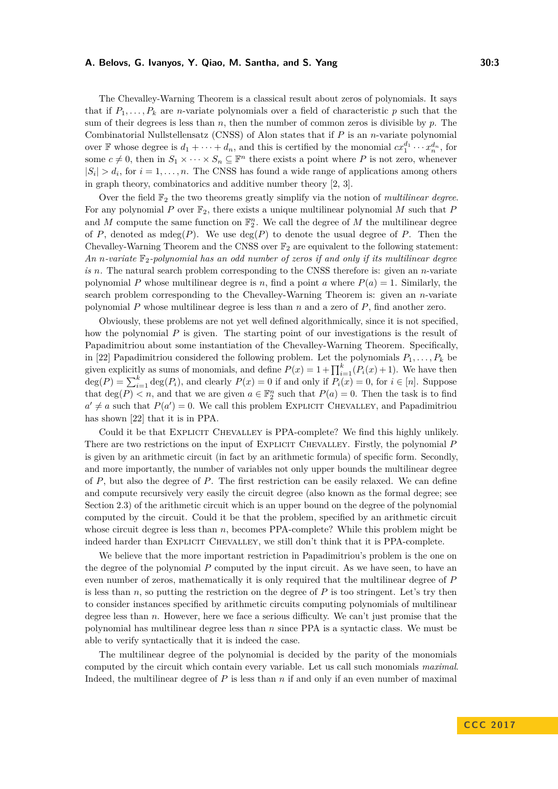The Chevalley-Warning Theorem is a classical result about zeros of polynomials. It says that if  $P_1, \ldots, P_k$  are *n*-variate polynomials over a field of characteristic p such that the sum of their degrees is less than *n*, then the number of common zeros is divisible by *p*. The Combinatorial Nullstellensatz (CNSS) of Alon states that if *P* is an *n*-variate polynomial over  $\mathbb F$  whose degree is  $d_1 + \cdots + d_n$ , and this is certified by the monomial  $cx_1^{d_1} \cdots x_n^{d_n}$ , for some  $c \neq 0$ , then in  $S_1 \times \cdots \times S_n \subseteq \mathbb{F}^n$  there exists a point where *P* is not zero, whenever  $|S_i| > d_i$ , for  $i = 1, \ldots, n$ . The CNSS has found a wide range of applications among others in graph theory, combinatorics and additive number theory [\[2,](#page-22-3) [3\]](#page-22-4).

Over the field F<sup>2</sup> the two theorems greatly simplify via the notion of *multilinear degree*. For any polynomial  $P$  over  $\mathbb{F}_2$ , there exists a unique multilinear polynomial  $M$  such that  $P$ and *M* compute the same function on  $\mathbb{F}_2^n$ . We call the degree of *M* the multilinear degree of *P*, denoted as mdeg $(P)$ . We use  $deg(P)$  to denote the usual degree of *P*. Then the Chevalley-Warning Theorem and the CNSS over  $\mathbb{F}_2$  are equivalent to the following statement: An *n*-variate  $\mathbb{F}_2$ -polynomial has an odd number of zeros if and only if its multilinear degree *is n.* The natural search problem corresponding to the CNSS therefore is: given an *n*-variate polynomial P whose multilinear degree is *n*, find a point *a* where  $P(a) = 1$ . Similarly, the search problem corresponding to the Chevalley-Warning Theorem is: given an *n*-variate polynomial *P* whose multilinear degree is less than *n* and a zero of *P*, find another zero.

Obviously, these problems are not yet well defined algorithmically, since it is not specified, how the polynomial *P* is given. The starting point of our investigations is the result of Papadimitriou about some instantiation of the Chevalley-Warning Theorem. Specifically, in [\[22\]](#page-23-2) Papadimitriou considered the following problem. Let the polynomials  $P_1, \ldots, P_k$  be given explicitly as sums of monomials, and define  $P(x) = 1 + \prod_{i=1}^{k} (P_i(x) + 1)$ . We have then  $deg(P) = \sum_{i=1}^{k} deg(P_i)$ , and clearly  $P(x) = 0$  if and only if  $P_i(x) = 0$ , for  $i \in [n]$ . Suppose that  $\deg(P) < n$ , and that we are given  $a \in \mathbb{F}_2^n$  such that  $P(a) = 0$ . Then the task is to find  $a' \neq a$  such that  $P(a') = 0$ . We call this problem EXPLICIT CHEVALLEY, and Papadimitriou has shown [\[22\]](#page-23-2) that it is in PPA.

Could it be that Explicit Chevalley is PPA-complete? We find this highly unlikely. There are two restrictions on the input of EXPLICIT CHEVALLEY. Firstly, the polynomial P is given by an arithmetic circuit (in fact by an arithmetic formula) of specific form. Secondly, and more importantly, the number of variables not only upper bounds the multilinear degree of *P*, but also the degree of *P*. The first restriction can be easily relaxed. We can define and compute recursively very easily the circuit degree (also known as the formal degree; see Section [2.3\)](#page-7-0) of the arithmetic circuit which is an upper bound on the degree of the polynomial computed by the circuit. Could it be that the problem, specified by an arithmetic circuit whose circuit degree is less than *n*, becomes PPA-complete? While this problem might be indeed harder than EXPLICIT CHEVALLEY, we still don't think that it is PPA-complete.

We believe that the more important restriction in Papadimitriou's problem is the one on the degree of the polynomial *P* computed by the input circuit. As we have seen, to have an even number of zeros, mathematically it is only required that the multilinear degree of *P* is less than  $n$ , so putting the restriction on the degree of  $P$  is too stringent. Let's try then to consider instances specified by arithmetic circuits computing polynomials of multilinear degree less than *n*. However, here we face a serious difficulty. We can't just promise that the polynomial has multilinear degree less than *n* since PPA is a syntactic class. We must be able to verify syntactically that it is indeed the case.

The multilinear degree of the polynomial is decided by the parity of the monomials computed by the circuit which contain every variable. Let us call such monomials *maximal*. Indeed, the multilinear degree of *P* is less than *n* if and only if an even number of maximal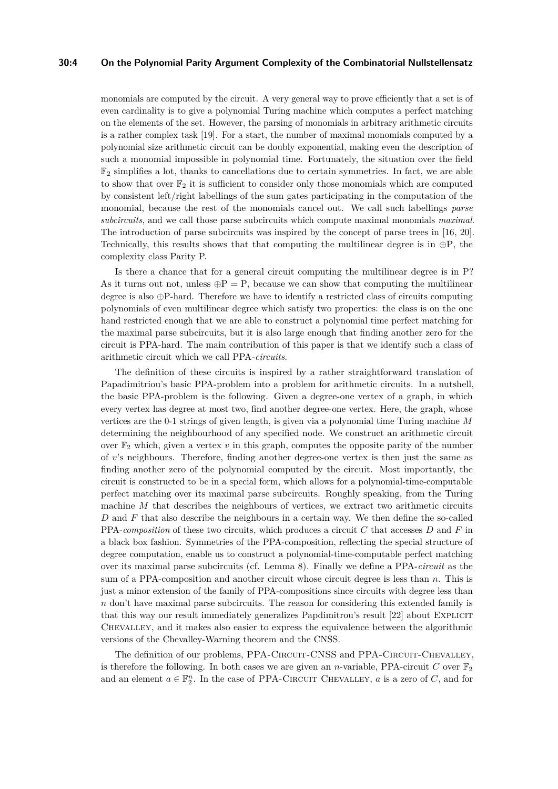# **30:4 On the Polynomial Parity Argument Complexity of the Combinatorial Nullstellensatz**

monomials are computed by the circuit. A very general way to prove efficiently that a set is of even cardinality is to give a polynomial Turing machine which computes a perfect matching on the elements of the set. However, the parsing of monomials in arbitrary arithmetic circuits is a rather complex task [\[19\]](#page-23-18). For a start, the number of maximal monomials computed by a polynomial size arithmetic circuit can be doubly exponential, making even the description of such a monomial impossible in polynomial time. Fortunately, the situation over the field  $\mathbb{F}_2$  simplifies a lot, thanks to cancellations due to certain symmetries. In fact, we are able to show that over  $\mathbb{F}_2$  it is sufficient to consider only those monomials which are computed by consistent left/right labellings of the sum gates participating in the computation of the monomial, because the rest of the monomials cancel out. We call such labellings *parse subcircuits*, and we call those parse subcircuits which compute maximal monomials *maximal*. The introduction of parse subcircuits was inspired by the concept of parse trees in [\[16,](#page-23-19) [20\]](#page-23-20). Technically, this results shows that that computing the multilinear degree is in  $\oplus P$ , the complexity class Parity P.

Is there a chance that for a general circuit computing the multilinear degree is in P? As it turns out not, unless  $\oplus P = P$ , because we can show that computing the multilinear degree is also ⊕P-hard. Therefore we have to identify a restricted class of circuits computing polynomials of even multilinear degree which satisfy two properties: the class is on the one hand restricted enough that we are able to construct a polynomial time perfect matching for the maximal parse subcircuits, but it is also large enough that finding another zero for the circuit is PPA-hard. The main contribution of this paper is that we identify such a class of arithmetic circuit which we call PPA*-circuits*.

The definition of these circuits is inspired by a rather straightforward translation of Papadimitriou's basic PPA-problem into a problem for arithmetic circuits. In a nutshell, the basic PPA-problem is the following. Given a degree-one vertex of a graph, in which every vertex has degree at most two, find another degree-one vertex. Here, the graph, whose vertices are the 0-1 strings of given length, is given via a polynomial time Turing machine *M* determining the neighbourhood of any specified node. We construct an arithmetic circuit over  $\mathbb{F}_2$  which, given a vertex  $v$  in this graph, computes the opposite parity of the number of *v*'s neighbours. Therefore, finding another degree-one vertex is then just the same as finding another zero of the polynomial computed by the circuit. Most importantly, the circuit is constructed to be in a special form, which allows for a polynomial-time-computable perfect matching over its maximal parse subcircuits. Roughly speaking, from the Turing machine *M* that describes the neighbours of vertices, we extract two arithmetic circuits *D* and *F* that also describe the neighbours in a certain way. We then define the so-called PPA-*composition* of these two circuits, which produces a circuit *C* that accesses *D* and *F* in a black box fashion. Symmetries of the PPA-composition, reflecting the special structure of degree computation, enable us to construct a polynomial-time-computable perfect matching over its maximal parse subcircuits (cf. Lemma [8\)](#page-14-0). Finally we define a PPA-*circuit* as the sum of a PPA-composition and another circuit whose circuit degree is less than *n*. This is just a minor extension of the family of PPA-compositions since circuits with degree less than *n* don't have maximal parse subcircuits. The reason for considering this extended family is that this way our result immediately generalizes Papdimitrou's result [\[22\]](#page-23-2) about EXPLICIT Chevalley, and it makes also easier to express the equivalence between the algorithmic versions of the Chevalley-Warning theorem and the CNSS.

The definition of our problems, PPA-CIRCUIT-CNSS and PPA-CIRCUIT-CHEVALLEY, is therefore the following. In both cases we are given an *n*-variable, PPA-circuit *C* over  $\mathbb{F}_2$ and an element  $a \in \mathbb{F}_2^n$ . In the case of PPA-CIRCUIT CHEVALLEY, *a* is a zero of *C*, and for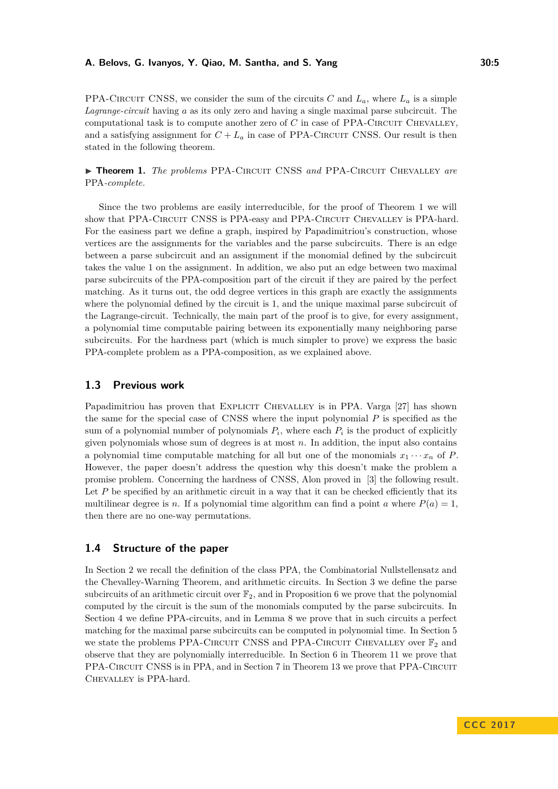PPA-CIRCUIT CNSS, we consider the sum of the circuits *C* and  $L_a$ , where  $L_a$  is a simple *Lagrange-circuit* having *a* as its only zero and having a single maximal parse subcircuit. The computational task is to compute another zero of *C* in case of PPA-CIRCUIT CHEVALLEY. and a satisfying assignment for  $C + L_a$  in case of PPA-CIRCUIT CNSS. Our result is then stated in the following theorem.

<span id="page-4-0"></span>▶ **Theorem 1.** *The problems* PPA-CIRCUIT CNSS *and* PPA-CIRCUIT CHEVALLEY *are* PPA*-complete.*

Since the two problems are easily interreducible, for the proof of Theorem [1](#page-4-0) we will show that PPA-CIRCUIT CNSS is PPA-easy and PPA-CIRCUIT CHEVALLEY is PPA-hard. For the easiness part we define a graph, inspired by Papadimitriou's construction, whose vertices are the assignments for the variables and the parse subcircuits. There is an edge between a parse subcircuit and an assignment if the monomial defined by the subcircuit takes the value 1 on the assignment. In addition, we also put an edge between two maximal parse subcircuits of the PPA-composition part of the circuit if they are paired by the perfect matching. As it turns out, the odd degree vertices in this graph are exactly the assignments where the polynomial defined by the circuit is 1, and the unique maximal parse subcircuit of the Lagrange-circuit. Technically, the main part of the proof is to give, for every assignment, a polynomial time computable pairing between its exponentially many neighboring parse subcircuits. For the hardness part (which is much simpler to prove) we express the basic PPA-complete problem as a PPA-composition, as we explained above.

# **1.3 Previous work**

Papadimitriou has proven that EXPLICIT CHEVALLEY is in PPA. Varga [\[27\]](#page-23-21) has shown the same for the special case of CNSS where the input polynomial *P* is specified as the sum of a polynomial number of polynomials  $P_i$ , where each  $P_i$  is the product of explicitly given polynomials whose sum of degrees is at most *n*. In addition, the input also contains a polynomial time computable matching for all but one of the monomials  $x_1 \cdots x_n$  of *P*. However, the paper doesn't address the question why this doesn't make the problem a promise problem. Concerning the hardness of CNSS, Alon proved in [\[3\]](#page-22-4) the following result. Let *P* be specified by an arithmetic circuit in a way that it can be checked efficiently that its multilinear degree is *n*. If a polynomial time algorithm can find a point *a* where  $P(a) = 1$ , then there are no one-way permutations.

# **1.4 Structure of the paper**

In Section [2](#page-5-0) we recall the definition of the class PPA, the Combinatorial Nullstellensatz and the Chevalley-Warning Theorem, and arithmetic circuits. In Section [3](#page-8-0) we define the parse subcircuits of an arithmetic circuit over  $\mathbb{F}_2$ , and in Proposition [6](#page-10-0) we prove that the polynomial computed by the circuit is the sum of the monomials computed by the parse subcircuits. In Section [4](#page-12-0) we define PPA-circuits, and in Lemma [8](#page-14-0) we prove that in such circuits a perfect matching for the maximal parse subcircuits can be computed in polynomial time. In Section [5](#page-18-0) we state the problems PPA-CIRCUIT CNSS and PPA-CIRCUIT CHEVALLEY over  $\mathbb{F}_2$  and observe that they are polynomially interreducible. In Section [6](#page-19-0) in Theorem [11](#page-19-1) we prove that PPA-CIRCUIT CNSS is in PPA, and in Section [7](#page-21-0) in Theorem [13](#page-21-1) we prove that PPA-CIRCUIT Chevalley is PPA-hard.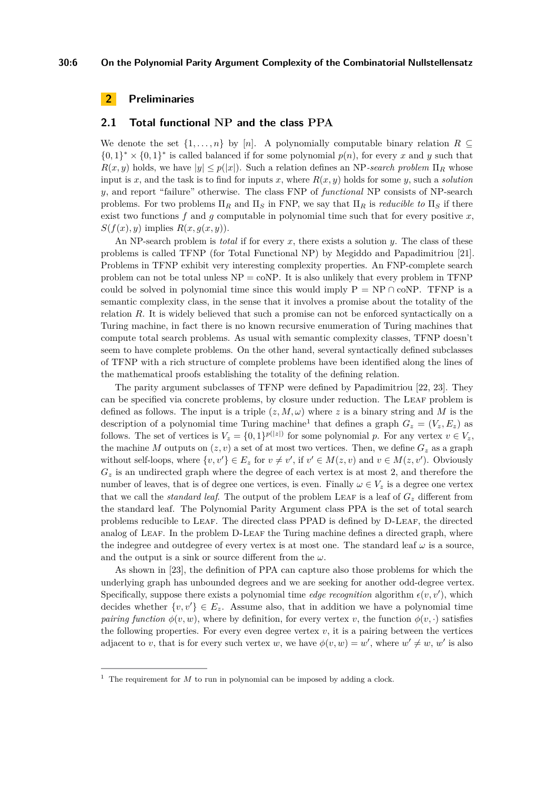# <span id="page-5-0"></span>**2 Preliminaries**

## <span id="page-5-2"></span>**2.1 Total functional NP and the class PPA**

We denote the set  $\{1, \ldots, n\}$  by [*n*]. A polynomially computable binary relation  $R \subseteq$  $\{0,1\}^* \times \{0,1\}^*$  is called balanced if for some polynomial  $p(n)$ , for every *x* and *y* such that  $R(x, y)$  holds, we have  $|y| \leq p(|x|)$ . Such a relation defines an NP-search problem  $\Pi_R$  whose input is *x*, and the task is to find for inputs *x*, where  $R(x, y)$  holds for some *y*, such a *solution y*, and report "failure" otherwise. The class FNP of *functional* NP consists of NP-search problems. For two problems  $\Pi_R$  and  $\Pi_S$  in FNP, we say that  $\Pi_R$  is *reducible to*  $\Pi_S$  if there exist two functions  $f$  and  $g$  computable in polynomial time such that for every positive  $x$ ,  $S(f(x), y)$  implies  $R(x, g(x, y))$ .

An NP-search problem is *total* if for every  $x$ , there exists a solution  $y$ . The class of these problems is called TFNP (for Total Functional NP) by Megiddo and Papadimitriou [\[21\]](#page-23-1). Problems in TFNP exhibit very interesting complexity properties. An FNP-complete search problem can not be total unless  $NP = \text{coNP}$ . It is also unlikely that every problem in TFNP could be solved in polynomial time since this would imply  $P = NP \cap \text{coNP}$ . TFNP is a semantic complexity class, in the sense that it involves a promise about the totality of the relation *R*. It is widely believed that such a promise can not be enforced syntactically on a Turing machine, in fact there is no known recursive enumeration of Turing machines that compute total search problems. As usual with semantic complexity classes, TFNP doesn't seem to have complete problems. On the other hand, several syntactically defined subclasses of TFNP with a rich structure of complete problems have been identified along the lines of the mathematical proofs establishing the totality of the defining relation.

The parity argument subclasses of TFNP were defined by Papadimitriou [\[22,](#page-23-2) [23\]](#page-23-10). They can be specified via concrete problems, by closure under reduction. The Leaf problem is defined as follows. The input is a triple  $(z, M, \omega)$  where z is a binary string and M is the description of a polynomial time Turing machine<sup>[1](#page-5-1)</sup> that defines a graph  $G_z = (V_z, E_z)$  as follows. The set of vertices is  $V_z = \{0,1\}^{p(|z|)}$  for some polynomial p. For any vertex  $v \in V_z$ , the machine *M* outputs on  $(z, v)$  a set of at most two vertices. Then, we define  $G_z$  as a graph without self-loops, where  $\{v, v'\} \in E_z$  for  $v \neq v'$ , if  $v' \in M(z, v)$  and  $v \in M(z, v')$ . Obviously  $G<sub>z</sub>$  is an undirected graph where the degree of each vertex is at most 2, and therefore the number of leaves, that is of degree one vertices, is even. Finally  $\omega \in V_z$  is a degree one vertex that we call the *standard leaf*. The output of the problem LEAF is a leaf of  $G<sub>z</sub>$  different from the standard leaf. The Polynomial Parity Argument class PPA is the set of total search problems reducible to Leaf. The directed class PPAD is defined by D-Leaf, the directed analog of LEAF. In the problem D-LEAF the Turing machine defines a directed graph, where the indegree and outdegree of every vertex is at most one. The standard leaf  $\omega$  is a source, and the output is a sink or source different from the *ω*.

As shown in [\[23\]](#page-23-10), the definition of PPA can capture also those problems for which the underlying graph has unbounded degrees and we are seeking for another odd-degree vertex. Specifically, suppose there exists a polynomial time *edge recognition* algorithm  $\epsilon(v, v')$ , which decides whether  $\{v, v'\} \in E_z$ . Assume also, that in addition we have a polynomial time *pairing function*  $\phi(v, w)$ , where by definition, for every vertex *v*, the function  $\phi(v, \cdot)$  satisfies the following properties. For every even degree vertex  $v$ , it is a pairing between the vertices adjacent to *v*, that is for every such vertex *w*, we have  $\phi(v, w) = w'$ , where  $w' \neq w$ , *w'* is also

<span id="page-5-1"></span><sup>&</sup>lt;sup>1</sup> The requirement for  $M$  to run in polynomial can be imposed by adding a clock.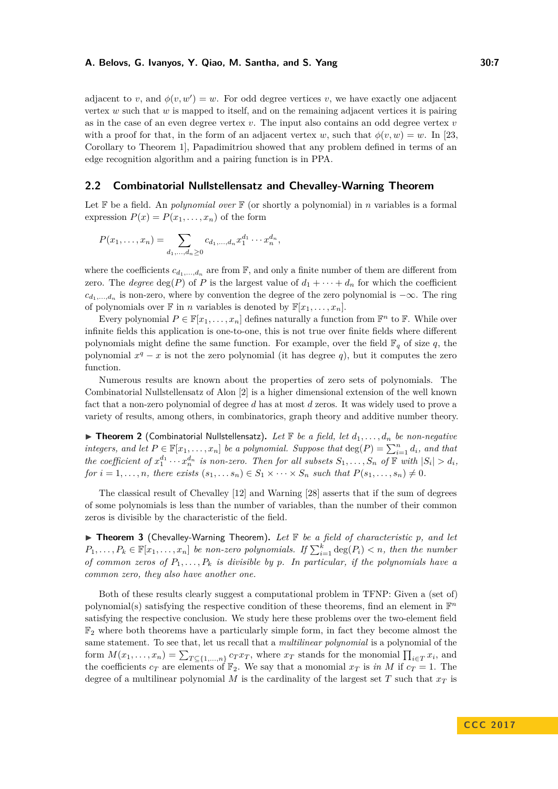adjacent to *v*, and  $\phi(v, w') = w$ . For odd degree vertices *v*, we have exactly one adjacent vertex *w* such that *w* is mapped to itself, and on the remaining adjacent vertices it is pairing as in the case of an even degree vertex *v*. The input also contains an odd degree vertex *v* with a proof for that, in the form of an adjacent vertex *w*, such that  $\phi(v, w) = w$ . In [\[23,](#page-23-10) Corollary to Theorem 1], Papadimitriou showed that any problem defined in terms of an edge recognition algorithm and a pairing function is in PPA.

# **2.2 Combinatorial Nullstellensatz and Chevalley-Warning Theorem**

Let  $\mathbb F$  be a field. An *polynomial over*  $\mathbb F$  (or shortly a polynomial) in *n* variables is a formal expression  $P(x) = P(x_1, \ldots, x_n)$  of the form

$$
P(x_1,...,x_n) = \sum_{d_1,...,d_n \ge 0} c_{d_1,...,d_n} x_1^{d_1} \cdots x_n^{d_n},
$$

where the coefficients  $c_{d_1,\ldots,d_n}$  are from  $\mathbb{F}$ , and only a finite number of them are different from zero. The *degree*  $\deg(P)$  of *P* is the largest value of  $d_1 + \cdots + d_n$  for which the coefficient  $c_{d_1,\ldots,d_n}$  is non-zero, where by convention the degree of the zero polynomial is  $-\infty$ . The ring of polynomials over  $\mathbb{F}$  in *n* variables is denoted by  $\mathbb{F}[x_1, \ldots, x_n]$ .

Every polynomial  $P \in \mathbb{F}[x_1, \ldots, x_n]$  defines naturally a function from  $\mathbb{F}^n$  to  $\mathbb{F}$ . While over infinite fields this application is one-to-one, this is not true over finite fields where different polynomials might define the same function. For example, over the field  $\mathbb{F}_q$  of size q, the polynomial  $x^q - x$  is not the zero polynomial (it has degree q), but it computes the zero function.

Numerous results are known about the properties of zero sets of polynomials. The Combinatorial Nullstellensatz of Alon [\[2\]](#page-22-3) is a higher dimensional extension of the well known fact that a non-zero polynomial of degree *d* has at most *d* zeros. It was widely used to prove a variety of results, among others, in combinatorics, graph theory and additive number theory.

 $\triangleright$  **Theorem 2** (Combinatorial Nullstellensatz). Let  $\mathbb{F}$  be a field, let  $d_1, \ldots, d_n$  be non-negative *integers, and let*  $P \in \mathbb{F}[x_1, \ldots, x_n]$  *be a polynomial. Suppose that*  $\deg(P) = \sum_{i=1}^n d_i$ *, and that* the coefficient of  $x_1^{d_1} \cdots x_n^{d_n}$  is non-zero. Then for all subsets  $S_1, \ldots, S_n$  of  $\mathbb F$  with  $|S_i| > d_i$ , *for*  $i = 1, \ldots, n$ *, there exists*  $(s_1, \ldots, s_n) \in S_1 \times \cdots \times S_n$  *such that*  $P(s_1, \ldots, s_n) \neq 0$ *.* 

The classical result of Chevalley [\[12\]](#page-23-16) and Warning [\[28\]](#page-23-17) asserts that if the sum of degrees of some polynomials is less than the number of variables, than the number of their common zeros is divisible by the characteristic of the field.

▶ **Theorem 3** (Chevalley-Warning Theorem). Let **F** be a field of characteristic p, and let  $P_1, \ldots, P_k \in \mathbb{F}[x_1, \ldots, x_n]$  *be non-zero polynomials. If*  $\sum_{i=1}^k \deg(P_i) < n$ *, then the number of common zeros of P*1*, . . . , P<sup>k</sup> is divisible by p. In particular, if the polynomials have a common zero, they also have another one.*

Both of these results clearly suggest a computational problem in TFNP: Given a (set of) polynomial(s) satisfying the respective condition of these theorems, find an element in  $\mathbb{F}^n$ satisfying the respective conclusion. We study here these problems over the two-element field  $\mathbb{F}_2$  where both theorems have a particularly simple form, in fact they become almost the same statement. To see that, let us recall that a *multilinear polynomial* is a polynomial of the form  $M(x_1, \ldots, x_n) = \sum_{T \subseteq \{1, \ldots, n\}} c_T x_T$ , where  $x_T$  stands for the monomial  $\prod_{i \in T} x_i$ , and the coefficients  $c_T$  are elements of  $\mathbb{F}_2$ . We say that a monomial  $x_T$  is *in M* if  $c_T = 1$ . The degree of a multilinear polynomial  $M$  is the cardinality of the largest set  $T$  such that  $x_T$  is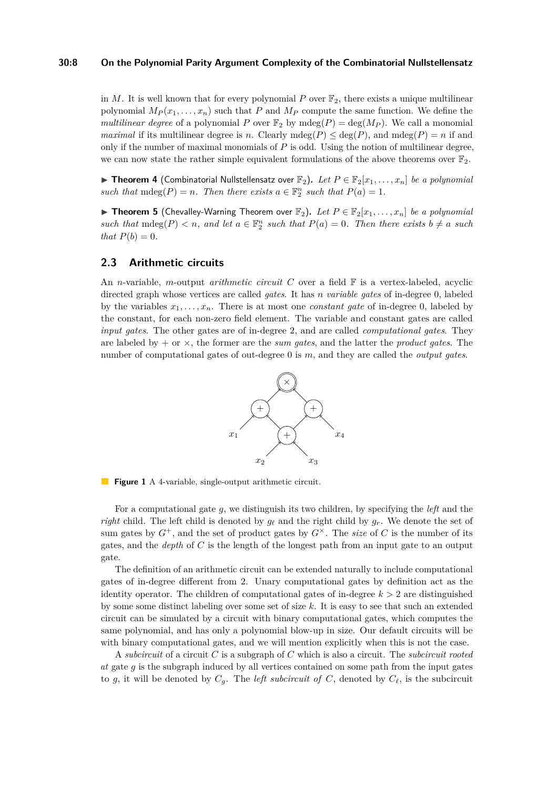#### **30:8 On the Polynomial Parity Argument Complexity of the Combinatorial Nullstellensatz**

in *M*. It is well known that for every polynomial *P* over  $\mathbb{F}_2$ , there exists a unique multilinear polynomial  $M_P(x_1, \ldots, x_n)$  such that *P* and  $M_P$  compute the same function. We define the *multilinear degree* of a polynomial *P* over  $\mathbb{F}_2$  by mdeg(*P*) = deg(*M<sub>P</sub>*). We call a monomial *maximal* if its multilinear degree is *n*. Clearly mdeg( $P$ )  $\leq$  deg( $P$ ), and mdeg( $P$ ) = *n* if and only if the number of maximal monomials of *P* is odd. Using the notion of multilinear degree, we can now state the rather simple equivalent formulations of the above theorems over  $\mathbb{F}_2$ .

▶ Theorem 4 (Combinatorial Nullstellensatz over  $\mathbb{F}_2$ ). Let  $P \in \mathbb{F}_2[x_1, \ldots, x_n]$  be a polynomial *such that*  $\text{mdeg}(P) = n$ *. Then there exists*  $a \in \mathbb{F}_2^n$  *such that*  $P(a) = 1$ *.* 

▶ **Theorem 5** (Chevalley-Warning Theorem over  $\mathbb{F}_2$ ). Let  $P \in \mathbb{F}_2[x_1, \ldots, x_n]$  be a polynomial *such that*  $\text{mdeg}(P) < n$ , and let  $a \in \mathbb{F}_2^n$  *such that*  $P(a) = 0$ . Then there exists  $b \neq a$  *such that*  $P(b) = 0$ *.* 

### <span id="page-7-0"></span>**2.3 Arithmetic circuits**

<span id="page-7-1"></span>An *n*-variable, *m*-output *arithmetic circuit C* over a field  $\mathbb{F}$  is a vertex-labeled, acyclic directed graph whose vertices are called *gates*. It has *n variable gates* of in-degree 0, labeled by the variables  $x_1, \ldots, x_n$ . There is at most one *constant gate* of in-degree 0, labeled by the constant, for each non-zero field element. The variable and constant gates are called *input gates*. The other gates are of in-degree 2, and are called *computational gates*. They are labeled by + or ×, the former are the *sum gates*, and the latter the *product gates*. The number of computational gates of out-degree 0 is *m*, and they are called the *output gates*.



**Figure 1** A 4-variable, single-output arithmetic circuit.

For a computational gate *g*, we distinguish its two children, by specifying the *left* and the *right* child. The left child is denoted by  $g_\ell$  and the right child by  $g_r$ . We denote the set of sum gates by  $G^+$ , and the set of product gates by  $G^{\times}$ . The *size* of C is the number of its gates, and the *depth* of *C* is the length of the longest path from an input gate to an output gate.

The definition of an arithmetic circuit can be extended naturally to include computational gates of in-degree different from 2. Unary computational gates by definition act as the identity operator. The children of computational gates of in-degree  $k > 2$  are distinguished by some some distinct labeling over some set of size *k*. It is easy to see that such an extended circuit can be simulated by a circuit with binary computational gates, which computes the same polynomial, and has only a polynomial blow-up in size. Our default circuits will be with binary computational gates, and we will mention explicitly when this is not the case.

A *subcircuit* of a circuit *C* is a subgraph of *C* which is also a circuit. The *subcircuit rooted at* gate *g* is the subgraph induced by all vertices contained on some path from the input gates to *g*, it will be denoted by  $C_g$ . The *left subcircuit of C*, denoted by  $C_\ell$ , is the subcircuit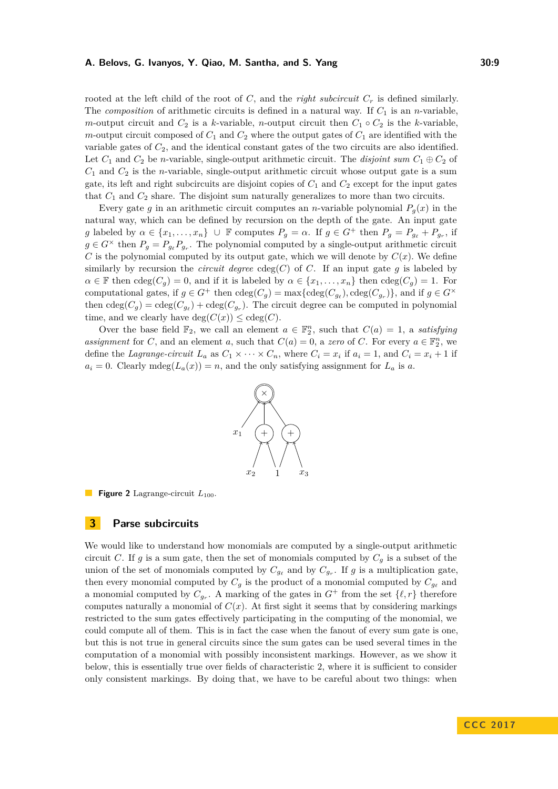rooted at the left child of the root of  $C$ , and the *right subcircuit*  $C_r$  is defined similarly. The *composition* of arithmetic circuits is defined in a natural way. If  $C_1$  is an *n*-variable, *m*-output circuit and  $C_2$  is a *k*-variable, *n*-output circuit then  $C_1 \circ C_2$  is the *k*-variable, *m*-output circuit composed of  $C_1$  and  $C_2$  where the output gates of  $C_1$  are identified with the variable gates of *C*2, and the identical constant gates of the two circuits are also identified. Let  $C_1$  and  $C_2$  be *n*-variable, single-output arithmetic circuit. The *disjoint sum*  $C_1 \oplus C_2$  of *C*<sup>1</sup> and *C*<sup>2</sup> is the *n*-variable, single-output arithmetic circuit whose output gate is a sum gate, its left and right subcircuits are disjoint copies of  $C_1$  and  $C_2$  except for the input gates that  $C_1$  and  $C_2$  share. The disjoint sum naturally generalizes to more than two circuits.

Every gate *g* in an arithmetic circuit computes an *n*-variable polynomial  $P_q(x)$  in the natural way, which can be defined by recursion on the depth of the gate. An input gate *g* labeled by  $\alpha \in \{x_1, \ldots, x_n\}$   $\cup$  F computes  $P_g = \alpha$ . If  $g \in G^+$  then  $P_g = P_{g_{\ell}} + P_{g_r}$ , if  $g \in G^{\times}$  then  $P_g = P_{g_{\ell}} P_{g_{r}}$ . The polynomial computed by a single-output arithmetic circuit *C* is the polynomial computed by its output gate, which we will denote by  $C(x)$ . We define similarly by recursion the *circuit degree*  $cdeg(C)$  of *C*. If an input gate g is labeled by  $\alpha \in \mathbb{F}$  then  $\text{cdeg}(C_q) = 0$ , and if it is labeled by  $\alpha \in \{x_1, \ldots, x_n\}$  then  $\text{cdeg}(C_q) = 1$ . For computational gates, if  $g \in G^+$  then  $\text{cdeg}(C_g) = \max\{\text{cdeg}(C_{g_\ell}), \text{cdeg}(C_{g_r})\}\)$ , and if  $g \in G^\times$ then  $\text{cdeg}(C_g) = \text{cdeg}(C_{g_\ell}) + \text{cdeg}(C_{g_r})$ . The circuit degree can be computed in polynomial time, and we clearly have  $deg(C(x)) \leq cdeg(C)$ .

Over the base field  $\mathbb{F}_2$ , we call an element  $a \in \mathbb{F}_2^n$ , such that  $C(a) = 1$ , a *satisfying assignment* for *C*, and an element *a*, such that  $C(a) = 0$ , a *zero* of *C*. For every  $a \in \mathbb{F}_2^n$ , we define the *Lagrange-circuit*  $L_a$  as  $C_1 \times \cdots \times C_n$ , where  $C_i = x_i$  if  $a_i = 1$ , and  $C_i = x_i + 1$  if  $a_i = 0$ . Clearly mdeg $(L_a(x)) = n$ , and the only satisfying assignment for  $L_a$  is *a*.



**Figure 2** Lagrange-circuit  $L_{100}$ .

# <span id="page-8-0"></span>**3 Parse subcircuits**

We would like to understand how monomials are computed by a single-output arithmetic circuit *C*. If *g* is a sum gate, then the set of monomials computed by  $C_g$  is a subset of the union of the set of monomials computed by  $C_{g_\ell}$  and by  $C_{g_r}$ . If *g* is a multiplication gate, then every monomial computed by  $C_g$  is the product of a monomial computed by  $C_{g_\ell}$  and a monomial computed by  $C_{g_r}$ . A marking of the gates in  $G^+$  from the set  $\{\ell, r\}$  therefore computes naturally a monomial of  $C(x)$ . At first sight it seems that by considering markings restricted to the sum gates effectively participating in the computing of the monomial, we could compute all of them. This is in fact the case when the fanout of every sum gate is one, but this is not true in general circuits since the sum gates can be used several times in the computation of a monomial with possibly inconsistent markings. However, as we show it below, this is essentially true over fields of characteristic 2, where it is sufficient to consider only consistent markings. By doing that, we have to be careful about two things: when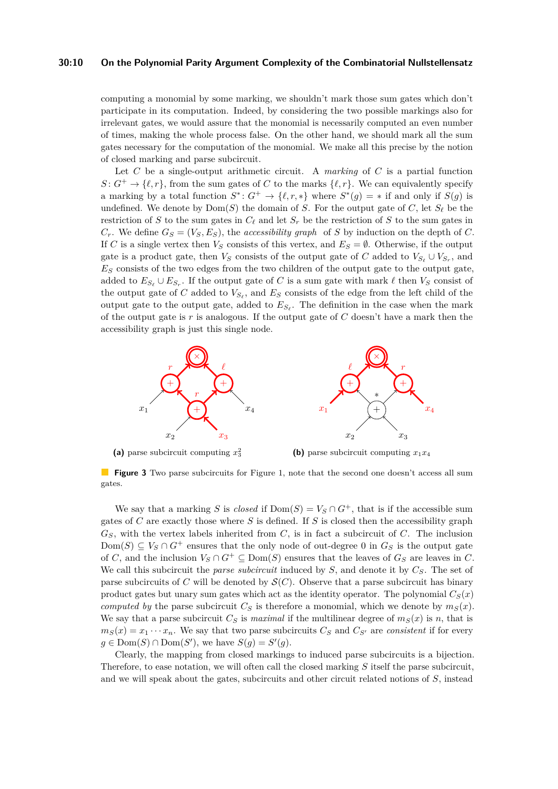#### **30:10 On the Polynomial Parity Argument Complexity of the Combinatorial Nullstellensatz**

computing a monomial by some marking, we shouldn't mark those sum gates which don't participate in its computation. Indeed, by considering the two possible markings also for irrelevant gates, we would assure that the monomial is necessarily computed an even number of times, making the whole process false. On the other hand, we should mark all the sum gates necessary for the computation of the monomial. We make all this precise by the notion of closed marking and parse subcircuit.

Let *C* be a single-output arithmetic circuit. A *marking* of *C* is a partial function  $S: G^+ \to \{\ell, r\}$ , from the sum gates of *C* to the marks  $\{\ell, r\}$ . We can equivalently specify a marking by a total function  $S^*$ :  $G^+ \to \{\ell, r, *\}$  where  $S^*(g) = *$  if and only if  $S(g)$  is undefined. We denote by  $Dom(S)$  the domain of *S*. For the output gate of *C*, let  $S_{\ell}$  be the restriction of *S* to the sum gates in  $C_{\ell}$  and let  $S_r$  be the restriction of *S* to the sum gates in  $C_r$ . We define  $G_S = (V_S, E_S)$ , the *accessibility graph* of *S* by induction on the depth of *C*. If *C* is a single vertex then  $V_S$  consists of this vertex, and  $E_S = \emptyset$ . Otherwise, if the output gate is a product gate, then  $V_S$  consists of the output gate of *C* added to  $V_{S_\ell} \cup V_{S_r}$ , and  $E<sub>S</sub>$  consists of the two edges from the two children of the output gate to the output gate, added to  $E_{S_{\ell}} \cup E_{S_r}$ . If the output gate of *C* is a sum gate with mark  $\ell$  then  $V_S$  consist of the output gate of *C* added to  $V_{S_{\ell}}$ , and  $E_S$  consists of the edge from the left child of the output gate to the output gate, added to  $E_{S_{\ell}}$ . The definition in the case when the mark of the output gate is *r* is analogous. If the output gate of *C* doesn't have a mark then the accessibility graph is just this single node.



**(a)** parse subcircuit computing *x* 2 3

**(b)** parse subcircuit computing  $x_1x_4$ 

**Figure 3** Two parse subcircuits for Figure [1,](#page-7-1) note that the second one doesn't access all sum gates.

We say that a marking *S* is *closed* if  $Dom(S) = V_S \cap G^+$ , that is if the accessible sum gates of *C* are exactly those where *S* is defined. If *S* is closed then the accessibility graph  $G<sub>S</sub>$ , with the vertex labels inherited from *C*, is in fact a subcircuit of *C*. The inclusion Dom(*S*) ⊆ *V<sub>S</sub>* ∩ *G*<sup>+</sup> ensures that the only node of out-degree 0 in  $G_S$  is the output gate of *C*, and the inclusion  $V_S \cap G^+ \subseteq \text{Dom}(S)$  ensures that the leaves of  $G_S$  are leaves in *C*. We call this subcircuit the *parse subcircuit* induced by *S*, and denote it by *CS*. The set of parse subcircuits of *C* will be denoted by  $\mathcal{S}(C)$ . Observe that a parse subcircuit has binary product gates but unary sum gates which act as the identity operator. The polynomial  $C<sub>S</sub>(x)$ *computed by* the parse subcircuit  $C_S$  is therefore a monomial, which we denote by  $m_S(x)$ . We say that a parse subcircuit  $C_S$  is *maximal* if the multilinear degree of  $m_S(x)$  is *n*, that is  $m<sub>S</sub>(x) = x_1 \cdots x_n$ . We say that two parse subcircuits  $C<sub>S</sub>$  and  $C<sub>S</sub>$ <sup>*i*</sup> are *consistent* if for every  $g \in \text{Dom}(S) \cap \text{Dom}(S')$ , we have  $S(g) = S'(g)$ .

Clearly, the mapping from closed markings to induced parse subcircuits is a bijection. Therefore, to ease notation, we will often call the closed marking *S* itself the parse subcircuit, and we will speak about the gates, subcircuits and other circuit related notions of *S*, instead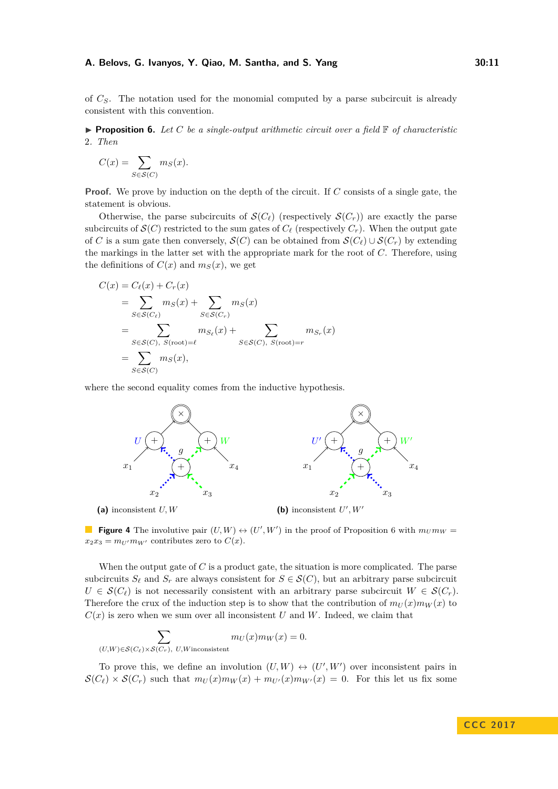of *CS*. The notation used for the monomial computed by a parse subcircuit is already consistent with this convention.

<span id="page-10-0"></span>**Proposition 6.** Let  $C$  be a single-output arithmetic circuit over a field  $\mathbb{F}$  of characteristic 2*. Then*

$$
C(x) = \sum_{S \in \mathcal{S}(C)} m_S(x).
$$

**Proof.** We prove by induction on the depth of the circuit. If *C* consists of a single gate, the statement is obvious.

Otherwise, the parse subcircuits of  $\mathcal{S}(C_{\ell})$  (respectively  $\mathcal{S}(C_r)$ ) are exactly the parse subcircuits of  $\mathcal{S}(C)$  restricted to the sum gates of  $C_{\ell}$  (respectively  $C_{r}$ ). When the output gate of *C* is a sum gate then conversely,  $\mathcal{S}(C)$  can be obtained from  $\mathcal{S}(C_{\ell}) \cup \mathcal{S}(C_r)$  by extending the markings in the latter set with the appropriate mark for the root of *C*. Therefore, using the definitions of  $C(x)$  and  $m<sub>S</sub>(x)$ , we get

$$
C(x) = C_{\ell}(x) + C_r(x)
$$
  
= 
$$
\sum_{S \in S(C_{\ell})} m_S(x) + \sum_{S \in S(C_r)} m_S(x)
$$
  
= 
$$
\sum_{S \in S(C), S(\text{root}) = \ell} m_{S_{\ell}}(x) + \sum_{S \in S(C), S(\text{root}) = r} m_{S_r}(x)
$$
  
= 
$$
\sum_{S \in S(C)} m_S(x),
$$

where the second equality comes from the inductive hypothesis.



**Figure 4** The involutive pair  $(U, W) \leftrightarrow (U', W')$  in the proof of Proposition [6](#page-10-0) with  $m_U m_W =$  $x_2x_3 = m_{U'}m_{W'}$  contributes zero to  $C(x)$ .

When the output gate of *C* is a product gate, the situation is more complicated. The parse subcircuits  $S_\ell$  and  $S_r$  are always consistent for  $S \in \mathcal{S}(C)$ , but an arbitrary parse subcircuit  $U \in \mathcal{S}(C_{\ell})$  is not necessarily consistent with an arbitrary parse subcircuit  $W \in \mathcal{S}(C_r)$ . Therefore the crux of the induction step is to show that the contribution of  $m_U(x)m_W(x)$  to  $C(x)$  is zero when we sum over all inconsistent *U* and *W*. Indeed, we claim that

$$
\sum_{(U,W)\in\mathcal{S}(C_{\ell})\times\mathcal{S}(C_{r}),\ U,W\text{inconsistent}}m_{U}(x)m_{W}(x)=0.
$$

To prove this, we define an involution  $(U, W) \leftrightarrow (U', W')$  over inconsistent pairs in  $\mathcal{S}(C_{\ell}) \times \mathcal{S}(C_{r})$  such that  $m_U(x)m_W(x) + m_{U'}(x)m_{W'}(x) = 0$ . For this let us fix some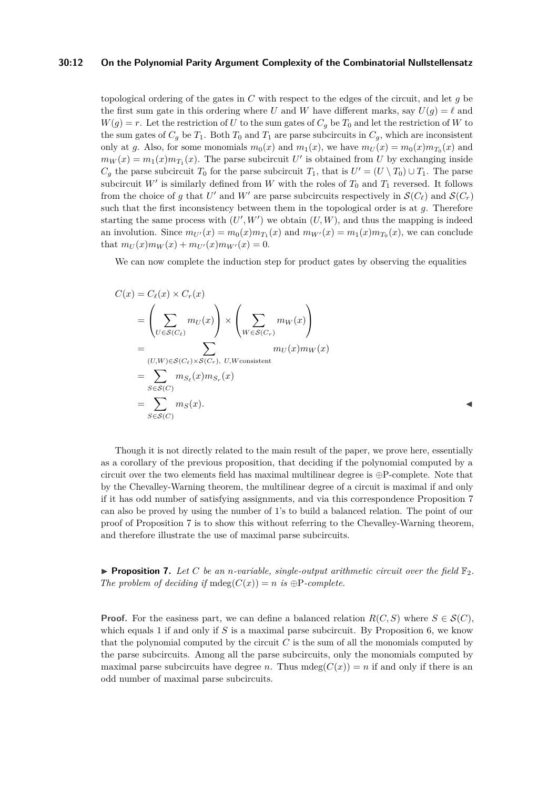#### **30:12 On the Polynomial Parity Argument Complexity of the Combinatorial Nullstellensatz**

topological ordering of the gates in *C* with respect to the edges of the circuit, and let *g* be the first sum gate in this ordering where *U* and *W* have different marks, say  $U(g) = \ell$  and  $W(g) = r$ . Let the restriction of *U* to the sum gates of  $C_g$  be  $T_0$  and let the restriction of *W* to the sum gates of  $C_q$  be  $T_1$ . Both  $T_0$  and  $T_1$  are parse subcircuits in  $C_q$ , which are inconsistent only at *g*. Also, for some monomials  $m_0(x)$  and  $m_1(x)$ , we have  $m_U(x) = m_0(x)m_{T_0}(x)$  and  $m_W(x) = m_1(x) m_{T_1}(x)$ . The parse subcircuit *U*' is obtained from *U* by exchanging inside  $C_g$  the parse subcircuit  $T_0$  for the parse subcircuit  $T_1$ , that is  $U' = (U \setminus T_0) \cup T_1$ . The parse subcircuit  $W'$  is similarly defined from  $W$  with the roles of  $T_0$  and  $T_1$  reversed. It follows from the choice of *g* that *U'* and *W'* are parse subcircuits respectively in  $\mathcal{S}(C_{\ell})$  and  $\mathcal{S}(C_r)$ such that the first inconsistency between them in the topological order is at *g*. Therefore starting the same process with  $(U', W')$  we obtain  $(U, W)$ , and thus the mapping is indeed an involution. Since  $m_{U'}(x) = m_0(x)m_{T_1}(x)$  and  $m_{W'}(x) = m_1(x)m_{T_0}(x)$ , we can conclude that  $m_U(x)m_W(x) + m_{U'}(x)m_{W'}(x) = 0.$ 

We can now complete the induction step for product gates by observing the equalities

$$
C(x) = C_{\ell}(x) \times C_{r}(x)
$$
  
=  $\left(\sum_{U \in S(C_{\ell})} m_{U}(x)\right) \times \left(\sum_{W \in S(C_{r})} m_{W}(x)\right)$   
=  $\left(\sum_{(U,W) \in S(C_{\ell}) \times S(C_{r}), U,W \text{consistent}} m_{U}(x)m_{W}(x)\right)$   
=  $\sum_{S \in S(C)} m_{S_{\ell}}(x)m_{S_{r}}(x)$   
=  $\sum_{S \in S(C)} m_{S}(x).$ 

Though it is not directly related to the main result of the paper, we prove here, essentially as a corollary of the previous proposition, that deciding if the polynomial computed by a circuit over the two elements field has maximal multilinear degree is  $oplus$ -complete. Note that by the Chevalley-Warning theorem, the multilinear degree of a circuit is maximal if and only if it has odd number of satisfying assignments, and via this correspondence Proposition [7](#page-11-0) can also be proved by using the number of 1's to build a balanced relation. The point of our proof of Proposition [7](#page-11-0) is to show this without referring to the Chevalley-Warning theorem, and therefore illustrate the use of maximal parse subcircuits.

<span id="page-11-0"></span>**Proposition 7.** Let C be an *n*-variable, single-output arithmetic circuit over the field  $\mathbb{F}_2$ . *The problem of deciding if*  $mdeg(C(x)) = n$  *is*  $\bigoplus P$ *-complete.* 

**Proof.** For the easiness part, we can define a balanced relation  $R(C, S)$  where  $S \in \mathcal{S}(C)$ , which equals 1 if and only if *S* is a maximal parse subcircuit. By Proposition [6,](#page-10-0) we know that the polynomial computed by the circuit *C* is the sum of all the monomials computed by the parse subcircuits. Among all the parse subcircuits, only the monomials computed by maximal parse subcircuits have degree *n*. Thus  $mdeg(C(x)) = n$  if and only if there is an odd number of maximal parse subcircuits.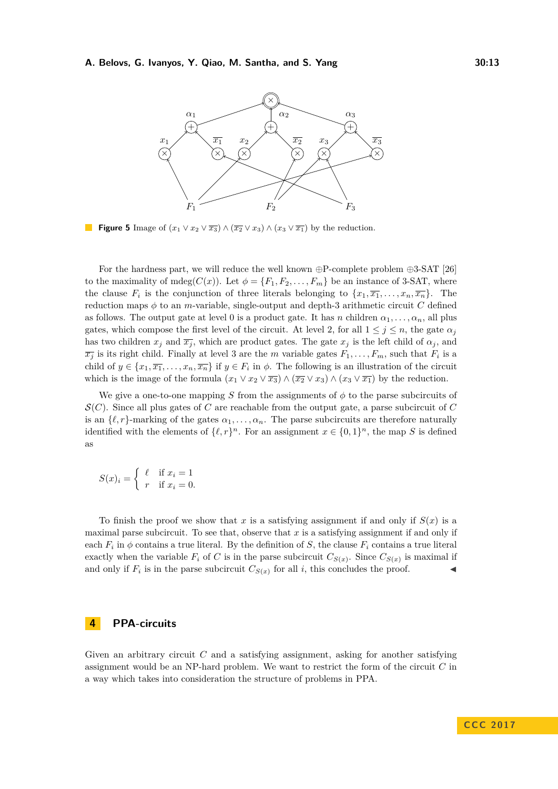

**Figure 5** Image of  $(x_1 \vee x_2 \vee \overline{x_3}) \wedge (\overline{x_2} \vee x_3) \wedge (x_3 \vee \overline{x_1})$  by the reduction.

For the hardness part, we will reduce the well known  $\oplus$ P-complete problem  $\oplus$ 3-SAT [\[26\]](#page-23-22) to the maximality of mdeg( $C(x)$ ). Let  $\phi = \{F_1, F_2, \ldots, F_m\}$  be an instance of 3-SAT, where the clause  $F_i$  is the conjunction of three literals belonging to  $\{x_1, \overline{x_1}, \ldots, x_n, \overline{x_n}\}$ . The reduction maps  $\phi$  to an *m*-variable, single-output and depth-3 arithmetic circuit *C* defined as follows. The output gate at level 0 is a product gate. It has *n* children  $\alpha_1, \ldots, \alpha_n$ , all plus gates, which compose the first level of the circuit. At level 2, for all  $1 \leq j \leq n$ , the gate  $\alpha_j$ has two children  $x_j$  and  $\overline{x_j}$ , which are product gates. The gate  $x_j$  is the left child of  $\alpha_j$ , and  $\overline{x_j}$  is its right child. Finally at level 3 are the *m* variable gates  $F_1, \ldots, F_m$ , such that  $F_i$  is a child of  $y \in \{x_1, \overline{x_1}, \ldots, x_n, \overline{x_n}\}$  if  $y \in F_i$  in  $\phi$ . The following is an illustration of the circuit which is the image of the formula  $(x_1 \vee x_2 \vee \overline{x_3}) \wedge (\overline{x_2} \vee x_3) \wedge (x_3 \vee \overline{x_1})$  by the reduction.

We give a one-to-one mapping *S* from the assignments of  $\phi$  to the parse subcircuits of  $\mathcal{S}(C)$ . Since all plus gates of *C* are reachable from the output gate, a parse subcircuit of *C* is an  $\{\ell, r\}$ -marking of the gates  $\alpha_1, \ldots, \alpha_n$ . The parse subcircuits are therefore naturally identified with the elements of  $\{\ell, r\}^n$ . For an assignment  $x \in \{0, 1\}^n$ , the map *S* is defined as

$$
S(x)_i = \begin{cases} \ell & \text{if } x_i = 1 \\ r & \text{if } x_i = 0. \end{cases}
$$

To finish the proof we show that x is a satisfying assignment if and only if  $S(x)$  is a maximal parse subcircuit. To see that, observe that  $x$  is a satisfying assignment if and only if each  $F_i$  in  $\phi$  contains a true literal. By the definition of *S*, the clause  $F_i$  contains a true literal exactly when the variable  $F_i$  of  $C$  is in the parse subcircuit  $C_{S(x)}$ . Since  $C_{S(x)}$  is maximal if and only if  $F_i$  is in the parse subcircuit  $C_{S(x)}$  for all *i*, this concludes the proof.

# <span id="page-12-0"></span>**4 PPA-circuits**

Given an arbitrary circuit *C* and a satisfying assignment, asking for another satisfying assignment would be an NP-hard problem. We want to restrict the form of the circuit *C* in a way which takes into consideration the structure of problems in PPA.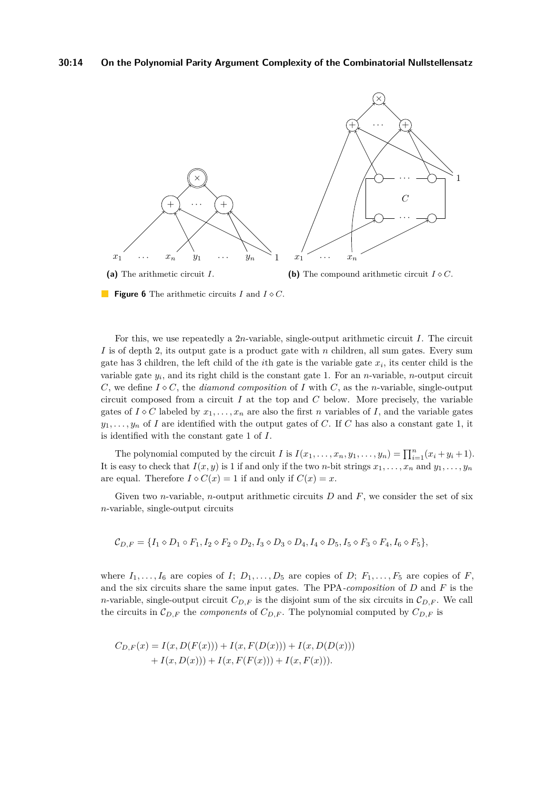#### **30:14 On the Polynomial Parity Argument Complexity of the Combinatorial Nullstellensatz**



**Figure 6** The arithmetic circuits *I* and *I C*.

For this, we use repeatedly a 2*n*-variable, single-output arithmetic circuit *I*. The circuit *I* is of depth 2, its output gate is a product gate with *n* children, all sum gates. Every sum gate has 3 children, the left child of the *i*th gate is the variable gate *x<sup>i</sup>* , its center child is the variable gate *y<sup>i</sup>* , and its right child is the constant gate 1. For an *n*-variable, *n*-output circuit *C*, we define  $I \circ C$ , the *diamond composition* of *I* with *C*, as the *n*-variable, single-output circuit composed from a circuit *I* at the top and *C* below. More precisely, the variable gates of  $I \diamond C$  labeled by  $x_1, \ldots, x_n$  are also the first *n* variables of *I*, and the variable gates  $y_1, \ldots, y_n$  of *I* are identified with the output gates of *C*. If *C* has also a constant gate 1, it is identified with the constant gate 1 of *I*.

The polynomial computed by the circuit *I* is  $I(x_1, \ldots, x_n, y_1, \ldots, y_n) = \prod_{i=1}^n (x_i + y_i + 1)$ . It is easy to check that  $I(x, y)$  is 1 if and only if the two *n*-bit strings  $x_1, \ldots, x_n$  and  $y_1, \ldots, y_n$ are equal. Therefore  $I \diamond C(x) = 1$  if and only if  $C(x) = x$ .

Given two *n*-variable, *n*-output arithmetic circuits *D* and *F*, we consider the set of six *n*-variable, single-output circuits

$$
\mathcal{C}_{D,F} = \{I_1 \diamond D_1 \circ F_1, I_2 \diamond F_2 \circ D_2, I_3 \diamond D_3 \circ D_4, I_4 \diamond D_5, I_5 \diamond F_3 \circ F_4, I_6 \diamond F_5\},\
$$

where  $I_1, \ldots, I_6$  are copies of  $I; D_1, \ldots, D_5$  are copies of  $D; F_1, \ldots, F_5$  are copies of  $F$ , and the six circuits share the same input gates. The PPA*-composition* of *D* and *F* is the *n*-variable, single-output circuit  $C_{D,F}$  is the disjoint sum of the six circuits in  $C_{D,F}$ . We call the circuits in  $\mathcal{C}_{D,F}$  the *components* of  $C_{D,F}$ . The polynomial computed by  $C_{D,F}$  is

$$
C_{D,F}(x) = I(x, D(F(x))) + I(x, F(D(x))) + I(x, D(D(x)))
$$
  
+  $I(x, D(x))) + I(x, F(F(x))) + I(x, F(x))).$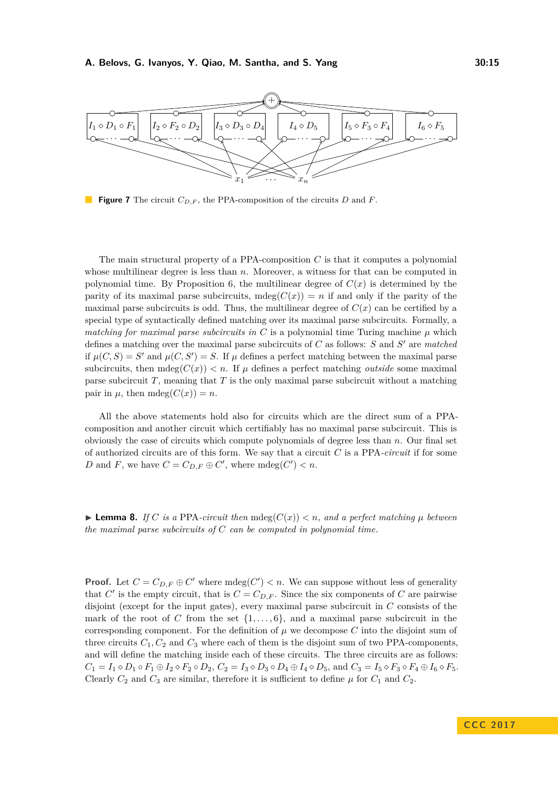

**Figure 7** The circuit *CD,F* , the PPA-composition of the circuits *D* and *F*.

The main structural property of a PPA-composition  $C$  is that it computes a polynomial whose multilinear degree is less than *n*. Moreover, a witness for that can be computed in polynomial time. By Proposition [6,](#page-10-0) the multilinear degree of  $C(x)$  is determined by the parity of its maximal parse subcircuits,  $mdeg(C(x)) = n$  if and only if the parity of the maximal parse subcircuits is odd. Thus, the multilinear degree of  $C(x)$  can be certified by a special type of syntactically defined matching over its maximal parse subcircuits. Formally, a *matching for maximal parse subcircuits in*  $C$  is a polynomial time Turing machine  $\mu$  which defines a matching over the maximal parse subcircuits of *C* as follows: *S* and *S'* are *matched* if  $\mu(C, S) = S'$  and  $\mu(C, S') = S$ . If  $\mu$  defines a perfect matching between the maximal parse subcircuits, then  $mdeg(C(x)) < n$ . If  $\mu$  defines a perfect matching *outside* some maximal parse subcircuit *T*, meaning that *T* is the only maximal parse subcircuit without a matching pair in  $\mu$ , then mdeg $(C(x)) = n$ .

All the above statements hold also for circuits which are the direct sum of a PPAcomposition and another circuit which certifiably has no maximal parse subcircuit. This is obviously the case of circuits which compute polynomials of degree less than *n*. Our final set of authorized circuits are of this form. We say that a circuit *C* is a PPA*-circuit* if for some *D* and *F*, we have  $C = C_{D,F} \oplus C'$ , where  $mdeg(C') < n$ .

<span id="page-14-0"></span>**Example 8.** *If C is a* PPA-*circuit then* mdeg( $C(x)$ )  $\lt n$ *, and a perfect matching*  $\mu$  *between the maximal parse subcircuits of C can be computed in polynomial time.*

**Proof.** Let  $C = C_{D,F} \oplus C'$  where  $mdeg(C') < n$ . We can suppose without less of generality that  $C'$  is the empty circuit, that is  $C = C_{D,F}$ . Since the six components of  $C$  are pairwise disjoint (except for the input gates), every maximal parse subcircuit in *C* consists of the mark of the root of *C* from the set  $\{1, \ldots, 6\}$ , and a maximal parse subcircuit in the corresponding component. For the definition of  $\mu$  we decompose C into the disjoint sum of three circuits  $C_1, C_2$  and  $C_3$  where each of them is the disjoint sum of two PPA-components, and will define the matching inside each of these circuits. The three circuits are as follows:  $C_1 = I_1 \diamond D_1 \circ F_1 \oplus I_2 \diamond F_2 \circ D_2$ ,  $C_2 = I_3 \diamond D_3 \circ D_4 \oplus I_4 \diamond D_5$ , and  $C_3 = I_5 \diamond F_3 \circ F_4 \oplus I_6 \diamond F_5$ . Clearly  $C_2$  and  $C_3$  are similar, therefore it is sufficient to define  $\mu$  for  $C_1$  and  $C_2$ .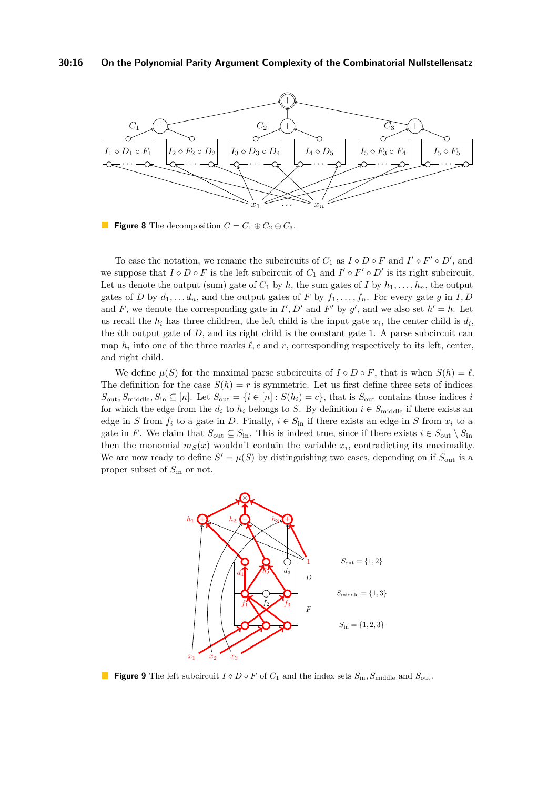#### **30:16 On the Polynomial Parity Argument Complexity of the Combinatorial Nullstellensatz**



**Figure 8** The decomposition  $C = C_1 \oplus C_2 \oplus C_3$ .

To ease the notation, we rename the subcircuits of  $C_1$  as  $I \diamond D \circ F$  and  $I' \diamond F' \circ D'$ , and we suppose that  $I \circ D \circ F$  is the left subcircuit of  $C_1$  and  $I' \circ F' \circ D'$  is its right subcircuit. Let us denote the output (sum) gate of  $C_1$  by  $h$ , the sum gates of  $I$  by  $h_1, \ldots, h_n$ , the output gates of *D* by  $d_1, \ldots, d_n$ , and the output gates of *F* by  $f_1, \ldots, f_n$ . For every gate *g* in *I*, *D* and *F*, we denote the corresponding gate in  $I', D'$  and  $F'$  by  $g'$ , and we also set  $h' = h$ . Let us recall the  $h_i$  has three children, the left child is the input gate  $x_i$ , the center child is  $d_i$ , the *i*th output gate of *D*, and its right child is the constant gate 1. A parse subcircuit can map  $h_i$  into one of the three marks  $\ell, c$  and  $r$ , corresponding respectively to its left, center, and right child.

We define  $\mu(S)$  for the maximal parse subcircuits of  $I \diamond D \circ F$ , that is when  $S(h) = \ell$ . The definition for the case  $S(h) = r$  is symmetric. Let us first define three sets of indices  $S_{\text{out}}$ ,  $S_{\text{middle}}$ ,  $S_{\text{in}} \subseteq [n]$ . Let  $S_{\text{out}} = \{i \in [n] : S(h_i) = c\}$ , that is  $S_{\text{out}}$  contains those indices *i* for which the edge from the  $d_i$  to  $h_i$  belongs to *S*. By definition  $i \in S_{middle}$  if there exists an edge in *S* from  $f_i$  to a gate in *D*. Finally,  $i \in S_{\text{in}}$  if there exists an edge in *S* from  $x_i$  to a gate in *F*. We claim that  $S_{\text{out}} \subseteq S_{\text{in}}$ . This is indeed true, since if there exists  $i \in S_{\text{out}} \setminus S_{\text{in}}$ then the monomial  $m_S(x)$  wouldn't contain the variable  $x_i$ , contradicting its maximality. We are now ready to define  $S' = \mu(S)$  by distinguishing two cases, depending on if  $S_{\text{out}}$  is a proper subset of *S*in or not.



**Figure 9** The left subcircuit  $I \diamond D \circ F$  of  $C_1$  and the index sets  $S_{\text{in}}$ ,  $S_{\text{middle}}$  and  $S_{\text{out}}$ .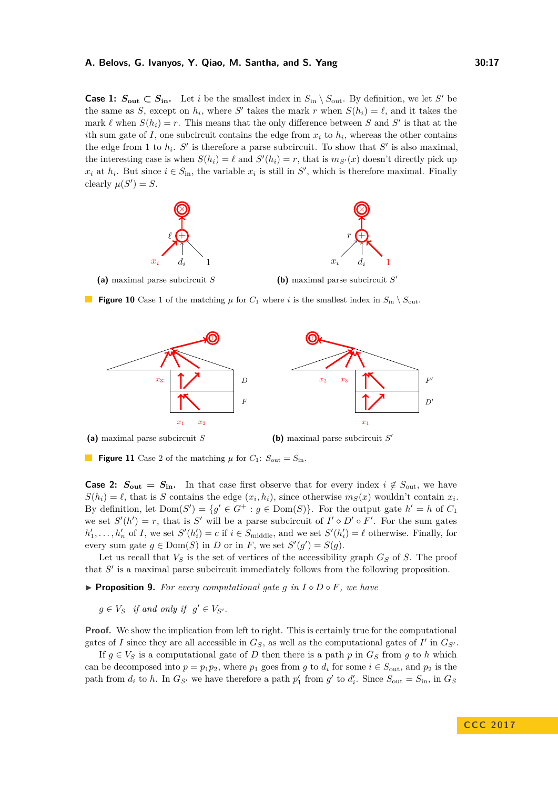**Case 1:**  $S_{\text{out}} \subset S_{\text{in}}$ . Let *i* be the smallest index in  $S_{\text{in}} \setminus S_{\text{out}}$ . By definition, we let *S*' be the same as *S*, except on  $h_i$ , where *S*<sup> $\prime$ </sup> takes the mark *r* when  $S(h_i) = \ell$ , and it takes the mark  $\ell$  when  $S(h_i) = r$ . This means that the only difference between *S* and *S'* is that at the *i*th sum gate of *I*, one subcircuit contains the edge from  $x_i$  to  $h_i$ , whereas the other contains the edge from 1 to  $h_i$ . S' is therefore a parse subcircuit. To show that S' is also maximal, the interesting case is when  $S(h_i) = \ell$  and  $S'(h_i) = r$ , that is  $m_{S'}(x)$  doesn't directly pick up  $x_i$  at  $h_i$ . But since  $i \in S_{\text{in}}$ , the variable  $x_i$  is still in *S*<sup>'</sup>, which is therefore maximal. Finally clearly  $\mu(S') = S$ .



**(a)** maximal parse subcircuit *S*

**(b)** maximal parse subcircuit *S* 0

**Figure 10** Case 1 of the matching  $\mu$  for  $C_1$  where *i* is the smallest index in  $S_{\rm in} \setminus S_{\rm out}$ .



**(a)** maximal parse subcircuit *S*

**(b)** maximal parse subcircuit *S* 0

**Figure 11** Case 2 of the matching  $\mu$  for  $C_1$ :  $S_{\text{out}} = S_{\text{in}}$ .

**Case 2:**  $S_{\text{out}} = S_{\text{in}}$ . In that case first observe that for every index  $i \notin S_{\text{out}}$ , we have  $S(h_i) = \ell$ , that is *S* contains the edge  $(x_i, h_i)$ , since otherwise  $m_S(x)$  wouldn't contain  $x_i$ . By definition, let  $Dom(S') = \{g' \in G^+ : g \in Dom(S)\}\$ . For the output gate  $h' = h$  of  $C_1$ we set  $S'(h') = r$ , that is S' will be a parse subcircuit of  $I' \diamond D' \circ F'$ . For the sum gates  $h'_1, \ldots, h'_n$  of *I*, we set  $S'(h'_i) = c$  if  $i \in S_{\text{middle}}$ , and we set  $S'(h'_i) = \ell$  otherwise. Finally, for every sum gate  $g \in \text{Dom}(S)$  in *D* or in *F*, we set  $S'(g') = S(g)$ .

Let us recall that  $V_S$  is the set of vertices of the accessibility graph  $G_S$  of  $S$ . The proof that  $S'$  is a maximal parse subcircuit immediately follows from the following proposition.

<span id="page-16-0"></span>**Proposition 9.** For every computational gate  $g$  in  $I \diamond D \circ F$ , we have

 $g \in V_S$  *if and only if*  $g' \in V_{S'}$ *.* 

**Proof.** We show the implication from left to right. This is certainly true for the computational gates of *I* since they are all accessible in  $G_S$ , as well as the computational gates of  $I'$  in  $G_{S'}$ .

If  $g \in V_S$  is a computational gate of *D* then there is a path *p* in  $G_S$  from *g* to *h* which can be decomposed into  $p = p_1p_2$ , where  $p_1$  goes from  $g$  to  $d_i$  for some  $i \in S_{\text{out}}$ , and  $p_2$  is the path from  $d_i$  to  $h$ . In  $G_{S'}$  we have therefore a path  $p'_1$  from  $g'$  to  $d'_i$ . Since  $S_{\text{out}} = S_{\text{in}}$ , in  $G_S$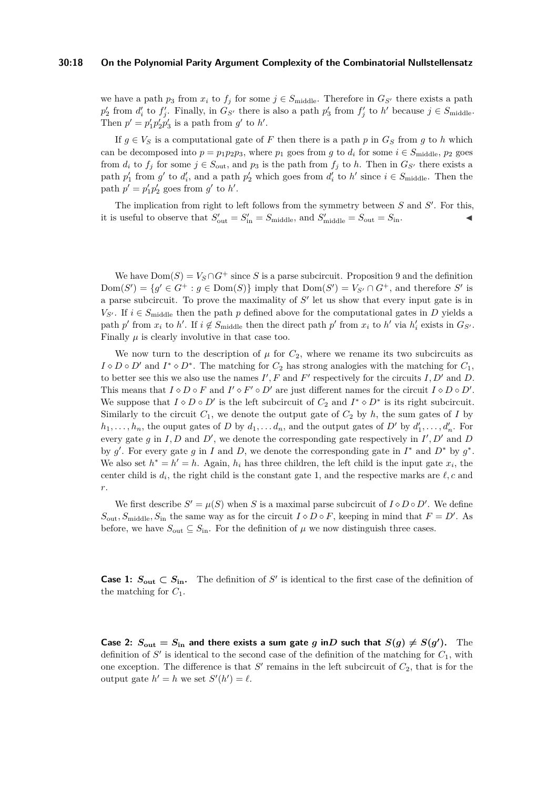#### **30:18 On the Polynomial Parity Argument Complexity of the Combinatorial Nullstellensatz**

we have a path  $p_3$  from  $x_i$  to  $f_j$  for some  $j \in S_{\text{middle}}$ . Therefore in  $G_{S'}$  there exists a path  $p'_2$  from  $d'_i$  to  $f'_j$ . Finally, in  $G_{S'}$  there is also a path  $p'_3$  from  $f'_j$  to  $h'$  because  $j \in S_{\text{middle}}$ . Then  $p' = p'_1 p'_2 p'_3$  is a path from  $g'$  to  $h'$ .

If  $g \in V_S$  is a computational gate of *F* then there is a path *p* in  $G_S$  from *g* to *h* which can be decomposed into  $p = p_1p_2p_3$ , where  $p_1$  goes from  $g$  to  $d_i$  for some  $i \in S_{\text{middle}}$ ,  $p_2$  goes from  $d_i$  to  $f_j$  for some  $j \in S_{\text{out}}$ , and  $p_3$  is the path from  $f_j$  to  $h$ . Then in  $G_{S'}$  there exists a path  $p'_1$  from  $g'$  to  $d'_i$ , and a path  $p'_2$  which goes from  $d'_i$  to  $h'$  since  $i \in S_{\text{middle}}$ . Then the path  $p' = p'_1 p'_2$  goes from  $g'$  to  $h'$ .

The implication from right to left follows from the symmetry between  $S$  and  $S'$ . For this, it is useful to observe that  $S'_{\text{out}} = S'_{\text{in}} = S_{\text{middle}}$ , and  $S'_{\text{middle}} = S_{\text{out}} = S_{\text{in}}$ .

We have  $Dom(S) = V_S \cap G^+$  since *S* is a parse subcircuit. Proposition [9](#page-16-0) and the definition  $Dom(S') = \{g' \in G^+ : g \in Dom(S)\}\$ imply that  $Dom(S') = V_{S'} \cap G^+$ , and therefore *S'* is a parse subcircuit. To prove the maximality of  $S'$  let us show that every input gate is in  $V_{S'}$ . If  $i \in S_{\text{middle}}$  then the path *p* defined above for the computational gates in *D* yields a path  $p'$  from  $x_i$  to  $h'$ . If  $i \notin S_{\text{middle}}$  then the direct path  $p'$  from  $x_i$  to  $h'$  via  $h'_i$  exists in  $G_{S'}$ . Finally  $\mu$  is clearly involutive in that case too.

We now turn to the description of  $\mu$  for  $C_2$ , where we rename its two subcircuits as  $I \diamond D \circ D'$  and  $I^* \diamond D^*$ . The matching for  $C_2$  has strong analogies with the matching for  $C_1$ , to better see this we also use the names  $I', F$  and  $F'$  respectively for the circuits  $I, D'$  and  $D$ . This means that  $I \diamond D \circ F$  and  $I' \diamond F' \circ D'$  are just different names for the circuit  $I \diamond D \circ D'$ . We suppose that  $I \diamond D \circ D'$  is the left subcircuit of  $C_2$  and  $I^* \diamond D^*$  is its right subcircuit. Similarly to the circuit  $C_1$ , we denote the output gate of  $C_2$  by  $h$ , the sum gates of  $I$  by  $h_1, \ldots, h_n$ , the ouput gates of *D* by  $d_1, \ldots, d_n$ , and the output gates of *D'* by  $d'_1, \ldots, d'_n$ . For every gate g in I, D and D', we denote the corresponding gate respectively in  $I', D'$  and D by  $g'$ . For every gate  $g$  in *I* and *D*, we denote the corresponding gate in  $I^*$  and  $D^*$  by  $g^*$ . We also set  $h^* = h' = h$ . Again,  $h_i$  has three children, the left child is the input gate  $x_i$ , the center child is  $d_i$ , the right child is the constant gate 1, and the respective marks are  $\ell$ , c and *r*.

We first describe  $S' = \mu(S)$  when *S* is a maximal parse subcircuit of  $I \diamond D \circ D'$ . We define  $S_{\text{out}}$ ,  $S_{\text{middle}}$ ,  $S_{\text{in}}$  the same way as for the circuit  $I \diamond D \circ F$ , keeping in mind that  $F = D'$ . As before, we have  $S_{\text{out}} \subseteq S_{\text{in}}$ . For the definition of  $\mu$  we now distinguish three cases.

**Case 1:**  $S_{\text{out}} \subset S_{\text{in}}$ . The definition of S' is identical to the first case of the definition of the matching for *C*1.

Case 2:  $S_{\text{out}} = S_{\text{in}}$  and there exists a sum gate g in D such that  $S(g) \neq S(g')$ . The definition of  $S'$  is identical to the second case of the definition of the matching for  $C_1$ , with one exception. The difference is that  $S'$  remains in the left subcircuit of  $C_2$ , that is for the output gate  $h' = h$  we set  $S'(h') = \ell$ .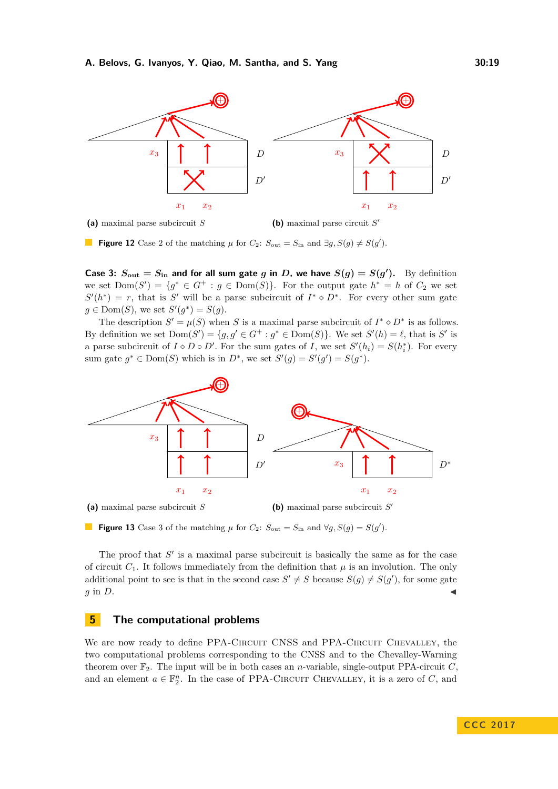

**Figure 12** Case 2 of the matching  $\mu$  for  $C_2$ :  $S_{\text{out}} = S_{\text{in}}$  and  $\exists g, S(g) \neq S(g')$ .

Case 3:  $S_{\text{out}} = S_{\text{in}}$  and for all sum gate g in D, we have  $S(g) = S(g')$ . By definition we set  $Dom(S') = \{g^* \in G^+ : g \in Dom(S)\}.$  For the output gate  $h^* = h$  of  $C_2$  we set  $S'(h^*) = r$ , that is *S*<sup>'</sup> will be a parse subcircuit of  $I^* \diamond D^*$ . For every other sum gate  $g \in \text{Dom}(S)$ , we set  $S'(g^*) = S(g)$ .

The description  $S' = \mu(S)$  when *S* is a maximal parse subcircuit of  $I^* \diamond D^*$  is as follows. By definition we set  $Dom(S') = \{g, g' \in G^+ : g^* \in Dom(S)\}\.$  We set  $S'(h) = \ell$ , that is *S'* is a parse subcircuit of  $I \diamond D \circ D'$ . For the sum gates of *I*, we set  $S'(h_i) = S(h_i^*)$ . For every sum gate  $g^* \in \text{Dom}(S)$  which is in  $D^*$ , we set  $S'(g) = S'(g') = S(g^*)$ .



**Figure 13** Case 3 of the matching  $\mu$  for  $C_2$ :  $S_{\text{out}} = S_{\text{in}}$  and  $\forall g, S(g) = S(g')$ .

The proof that  $S'$  is a maximal parse subcircuit is basically the same as for the case of circuit  $C_1$ . It follows immediately from the definition that  $\mu$  is an involution. The only additional point to see is that in the second case  $S' \neq S$  because  $S(g) \neq S(g')$ , for some gate  $g$  in *D*.

# <span id="page-18-0"></span>**5 The computational problems**

We are now ready to define PPA-CIRCUIT CNSS and PPA-CIRCUIT CHEVALLEY, the two computational problems corresponding to the CNSS and to the Chevalley-Warning theorem over  $\mathbb{F}_2$ . The input will be in both cases an *n*-variable, single-output PPA-circuit *C*, and an element  $a \in \mathbb{F}_2^n$ . In the case of PPA-CIRCUIT CHEVALLEY, it is a zero of *C*, and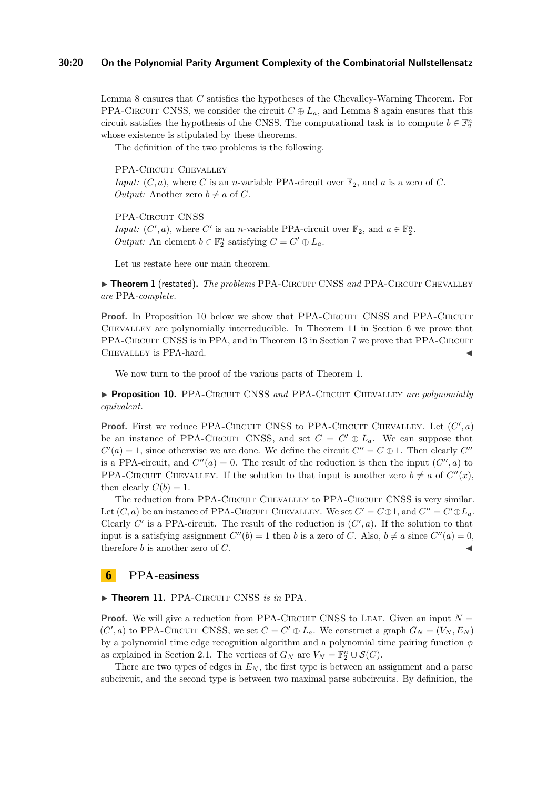#### **30:20 On the Polynomial Parity Argument Complexity of the Combinatorial Nullstellensatz**

Lemma [8](#page-14-0) ensures that *C* satisfies the hypotheses of the Chevalley-Warning Theorem. For PPA-CIRCUIT CNSS, we consider the circuit  $C \oplus L_a$ , and Lemma [8](#page-14-0) again ensures that this circuit satisfies the hypothesis of the CNSS. The computational task is to compute  $b \in \mathbb{F}_2^n$ whose existence is stipulated by these theorems.

The definition of the two problems is the following.

PPA-CIRCUIT CHEVALLEY *Input:*  $(C, a)$ , where *C* is an *n*-variable PPA-circuit over  $\mathbb{F}_2$ , and *a* is a zero of *C*. *Output:* Another zero  $b \neq a$  of *C*.

PPA-CIRCUIT CNSS

*Input:*  $(C', a)$ , where  $C'$  is an *n*-variable PPA-circuit over  $\mathbb{F}_2$ , and  $a \in \mathbb{F}_2^n$ . *Output:* An element  $b \in \mathbb{F}_2^n$  satisfying  $C = C' \oplus L_a$ .

Let us restate here our main theorem.

▶ Theorem [1](#page-4-0) (restated). The problems PPA-CIRCUIT CNSS and PPA-CIRCUIT CHEVALLEY *are* PPA*-complete.*

**Proof.** In Proposition [10](#page-19-2) below we show that PPA-CIRCUIT CNSS and PPA-CIRCUIT Chevalley are polynomially interreducible. In Theorem [11](#page-19-1) in Section [6](#page-19-0) we prove that PPA-CIRCUIT CNSS is in PPA, and in Theorem [13](#page-21-1) in Section [7](#page-21-0) we prove that PPA-CIRCUIT CHEVALLEY is PPA-hard.

We now turn to the proof of the various parts of Theorem [1.](#page-4-0)

<span id="page-19-2"></span>▶ **Proposition 10.** PPA-CIRCUIT CNSS and PPA-CIRCUIT CHEVALLEY are polynomially *equivalent.*

**Proof.** First we reduce PPA-CIRCUIT CNSS to PPA-CIRCUIT CHEVALLEY. Let  $(C', a)$ be an instance of PPA-CIRCUIT CNSS, and set  $C = C' \oplus L_a$ . We can suppose that  $C'(a) = 1$ , since otherwise we are done. We define the circuit  $C'' = C \oplus 1$ . Then clearly  $C''$ is a PPA-circuit, and  $C''(a) = 0$ . The result of the reduction is then the input  $(C'', a)$  to PPA-CIRCUIT CHEVALLEY. If the solution to that input is another zero  $b \neq a$  of  $C''(x)$ , then clearly  $C(b) = 1$ .

The reduction from PPA-CIRCUIT CHEVALLEY to PPA-CIRCUIT CNSS is very similar. Let  $(C, a)$  be an instance of PPA-CIRCUIT CHEVALLEY. We set  $C' = C \oplus 1$ , and  $C'' = C' \oplus L_a$ . Clearly  $C'$  is a PPA-circuit. The result of the reduction is  $(C', a)$ . If the solution to that input is a satisfying assignment  $C''(b) = 1$  then *b* is a zero of *C*. Also,  $b \neq a$  since  $C''(a) = 0$ , therefore  $b$  is another zero of  $C$ .

### <span id="page-19-0"></span>**6 PPA-easiness**

<span id="page-19-1"></span> $\triangleright$  Theorem 11. PPA-CIRCUIT CNSS *is in* PPA.

**Proof.** We will give a reduction from PPA-CIRCUIT CNSS to LEAF. Given an input  $N =$  $(C', a)$  to PPA-CIRCUIT CNSS, we set  $C = C' \oplus L_a$ . We construct a graph  $G_N = (V_N, E_N)$ by a polynomial time edge recognition algorithm and a polynomial time pairing function *φ* as explained in Section [2.1.](#page-5-2) The vertices of  $G_N$  are  $V_N = \mathbb{F}_2^n \cup \mathcal{S}(C)$ .

There are two types of edges in *E<sup>N</sup>* , the first type is between an assignment and a parse subcircuit, and the second type is between two maximal parse subcircuits. By definition, the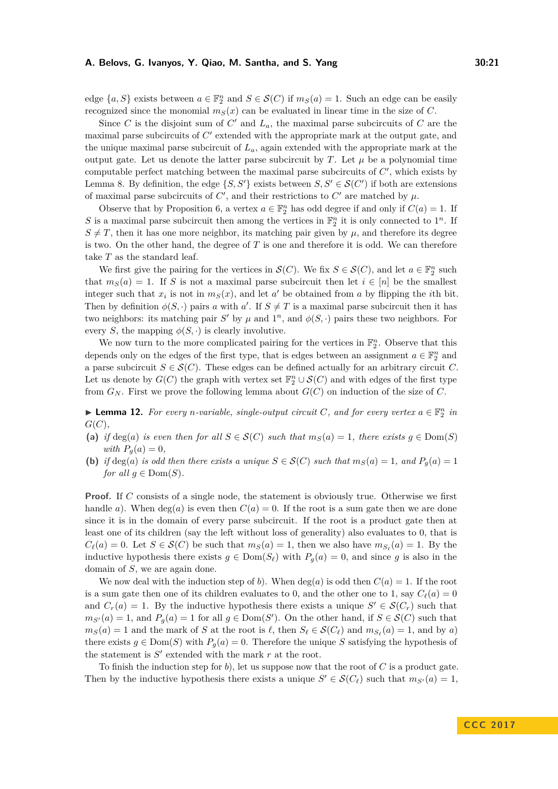edge  $\{a, S\}$  exists between  $a \in \mathbb{F}_2^n$  and  $S \in \mathcal{S}(C)$  if  $m_S(a) = 1$ . Such an edge can be easily recognized since the monomial  $m<sub>S</sub>(x)$  can be evaluated in linear time in the size of *C*.

Since *C* is the disjoint sum of  $C'$  and  $L_a$ , the maximal parse subcircuits of  $C$  are the maximal parse subcircuits of  $C'$  extended with the appropriate mark at the output gate, and the unique maximal parse subcircuit of *La*, again extended with the appropriate mark at the output gate. Let us denote the latter parse subcircuit by  $T$ . Let  $\mu$  be a polynomial time computable perfect matching between the maximal parse subcircuits of  $C'$ , which exists by Lemma [8.](#page-14-0) By definition, the edge  $\{S, S'\}$  exists between  $S, S' \in \mathcal{S}(C')$  if both are extensions of maximal parse subcircuits of  $C'$ , and their restrictions to  $C'$  are matched by  $\mu$ .

Observe that by Proposition [6,](#page-10-0) a vertex  $a \in \mathbb{F}_2^n$  has odd degree if and only if  $C(a) = 1$ . If *S* is a maximal parse subcircuit then among the vertices in  $\mathbb{F}_2^n$  it is only connected to  $1^n$ . If  $S \neq T$ , then it has one more neighbor, its matching pair given by  $\mu$ , and therefore its degree is two. On the other hand, the degree of *T* is one and therefore it is odd. We can therefore take *T* as the standard leaf.

We first give the pairing for the vertices in  $\mathcal{S}(C)$ . We fix  $S \in \mathcal{S}(C)$ , and let  $a \in \mathbb{F}_2^n$  such that  $m<sub>S</sub>(a) = 1$ . If *S* is not a maximal parse subcircuit then let  $i \in [n]$  be the smallest integer such that  $x_i$  is not in  $m_S(x)$ , and let  $a'$  be obtained from  $a$  by flipping the *i*th bit. Then by definition  $\phi(S, \cdot)$  pairs *a* with *a*'. If  $S \neq T$  is a maximal parse subcircuit then it has two neighbors: its matching pair *S*<sup> $\prime$ </sup> by  $\mu$  and  $1^n$ , and  $\phi(S, \cdot)$  pairs these two neighbors. For every *S*, the mapping  $\phi(S, \cdot)$  is clearly involutive.

We now turn to the more complicated pairing for the vertices in  $\mathbb{F}_2^n$ . Observe that this depends only on the edges of the first type, that is edges between an assignment  $a \in \mathbb{F}_2^n$  and a parse subcircuit  $S \in \mathcal{S}(C)$ . These edges can be defined actually for an arbitrary circuit *C*. Let us denote by  $G(C)$  the graph with vertex set  $\mathbb{F}_2^n \cup \mathcal{S}(C)$  and with edges of the first type from  $G_N$ . First we prove the following lemma about  $G(C)$  on induction of the size of  $C$ .

<span id="page-20-0"></span>**Lemma 12.** For every *n*-variable, single-output circuit C, and for every vertex  $a \in \mathbb{F}_2^n$  in *G*(*C*)*,*

- (a) *if* deg(*a*) *is even then for all*  $S \in \mathcal{S}(C)$  *such that*  $m_S(a) = 1$ *, there exists*  $g \in Dom(S)$ *with*  $P_q(a) = 0$ *,*
- **(b)** if deg(*a*) is odd then there exists a unique  $S \in \mathcal{S}(C)$  such that  $m_S(a) = 1$ , and  $P_q(a) = 1$ *for all*  $q \in \text{Dom}(S)$ .

**Proof.** If *C* consists of a single node, the statement is obviously true. Otherwise we first handle *a*). When deg(*a*) is even then  $C(a) = 0$ . If the root is a sum gate then we are done since it is in the domain of every parse subcircuit. If the root is a product gate then at least one of its children (say the left without loss of generality) also evaluates to 0, that is  $C_{\ell}(a) = 0$ . Let  $S \in \mathcal{S}(C)$  be such that  $m_S(a) = 1$ , then we also have  $m_{S_{\ell}}(a) = 1$ . By the inductive hypothesis there exists  $g \in \text{Dom}(S_\ell)$  with  $P_q(a) = 0$ , and since *g* is also in the domain of *S*, we are again done.

We now deal with the induction step of *b*). When  $\deg(a)$  is odd then  $C(a) = 1$ . If the root is a sum gate then one of its children evaluates to 0, and the other one to 1, say  $C_{\ell}(a) = 0$ and  $C_r(a) = 1$ . By the inductive hypothesis there exists a unique  $S' \in \mathcal{S}(C_r)$  such that  $m_{S'}(a) = 1$ , and  $P_g(a) = 1$  for all  $g \in \text{Dom}(S')$ . On the other hand, if  $S \in \mathcal{S}(C)$  such that  $m_S(a) = 1$  and the mark of *S* at the root is  $\ell$ , then  $S_{\ell} \in \mathcal{S}(C_{\ell})$  and  $m_{S_{\ell}}(a) = 1$ , and by *a*) there exists  $g \in \text{Dom}(S)$  with  $P_g(a) = 0$ . Therefore the unique *S* satisfying the hypothesis of the statement is  $S'$  extended with the mark  $r$  at the root.

To finish the induction step for *b*), let us suppose now that the root of *C* is a product gate. Then by the inductive hypothesis there exists a unique  $S' \in \mathcal{S}(C_{\ell})$  such that  $m_{S'}(a) = 1$ ,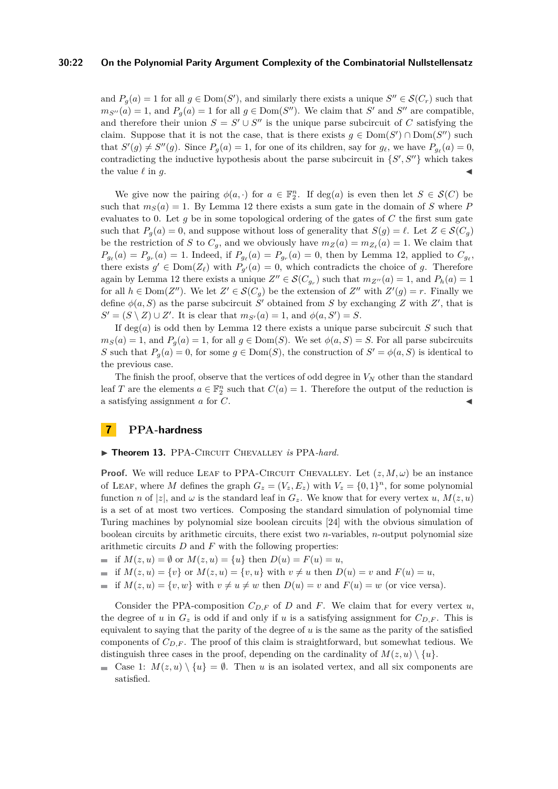#### **30:22 On the Polynomial Parity Argument Complexity of the Combinatorial Nullstellensatz**

and  $P_g(a) = 1$  for all  $g \in \text{Dom}(S')$ , and similarly there exists a unique  $S'' \in \mathcal{S}(C_r)$  such that  $m_{S''}(a) = 1$ , and  $P_g(a) = 1$  for all  $g \in \text{Dom}(S'')$ . We claim that *S*<sup>*i*</sup> and *S<sup>'<i>i*</sup></sup> are compatible, and therefore their union  $S = S' \cup S''$  is the unique parse subcircuit of *C* satisfying the claim. Suppose that it is not the case, that is there exists  $g \in \text{Dom}(S') \cap \text{Dom}(S'')$  such that  $S'(g) \neq S''(g)$ . Since  $P_g(a) = 1$ , for one of its children, say for  $g_\ell$ , we have  $P_{g_\ell}(a) = 0$ , contradicting the inductive hypothesis about the parse subcircuit in  $\{S', S''\}$  which takes the value  $\ell$  in  $g$ .

We give now the pairing  $\phi(a, \cdot)$  for  $a \in \mathbb{F}_2^n$ . If deg(*a*) is even then let  $S \in \mathcal{S}(C)$  be such that  $m_S(a) = 1$ . By Lemma [12](#page-20-0) there exists a sum gate in the domain of *S* where *P* evaluates to 0. Let *g* be in some topological ordering of the gates of *C* the first sum gate such that  $P_q(a) = 0$ , and suppose without loss of generality that  $S(g) = \ell$ . Let  $Z \in \mathcal{S}(C_q)$ be the restriction of *S* to  $C_g$ , and we obviously have  $m_Z(a) = m_{Z_\ell}(a) = 1$ . We claim that  $P_{g_{\ell}}(a) = P_{g_r}(a) = 1$ . Indeed, if  $P_{g_{\ell}}(a) = P_{g_r}(a) = 0$ , then by Lemma [12,](#page-20-0) applied to  $C_{g_{\ell}}$ , there exists  $g' \in \text{Dom}(Z_{\ell})$  with  $P_{g'}(a) = 0$ , which contradicts the choice of *g*. Therefore again by Lemma [12](#page-20-0) there exists a unique  $Z'' \in \mathcal{S}(C_{g_r})$  such that  $m_{Z''}(a) = 1$ , and  $P_h(a) = 1$ for all  $h \in \text{Dom}(Z'')$ . We let  $Z' \in \mathcal{S}(C_g)$  be the extension of  $Z''$  with  $Z'(g) = r$ . Finally we define  $\phi(a, S)$  as the parse subcircuit *S*<sup>'</sup> obtained from *S* by exchanging *Z* with *Z*<sup>'</sup>, that is  $S' = (S \setminus Z) \cup Z'$ . It is clear that  $m_{S'}(a) = 1$ , and  $\phi(a, S') = S$ .

If deg(*a*) is odd then by Lemma [12](#page-20-0) there exists a unique parse subcircuit *S* such that  $m<sub>S</sub>(a) = 1$ , and  $P<sub>g</sub>(a) = 1$ , for all  $g \in \text{Dom}(S)$ . We set  $\phi(a, S) = S$ . For all parse subcircuits *S* such that  $P_g(a) = 0$ , for some  $g \in \text{Dom}(S)$ , the construction of  $S' = \phi(a, S)$  is identical to the previous case.

The finish the proof, observe that the vertices of odd degree in *V<sup>N</sup>* other than the standard leaf *T* are the elements  $a \in \mathbb{F}_2^n$  such that  $C(a) = 1$ . Therefore the output of the reduction is a satisfying assignment *a* for *C*. J

# <span id="page-21-0"></span>**7 PPA-hardness**

#### <span id="page-21-1"></span> $\blacktriangleright$  Theorem 13. PPA-CIRCUIT CHEVALLEY *is* PPA-hard.

**Proof.** We will reduce LEAF to PPA-CIRCUIT CHEVALLEY. Let  $(z, M, \omega)$  be an instance of LEAF, where *M* defines the graph  $G_z = (V_z, E_z)$  with  $V_z = \{0, 1\}^n$ , for some polynomial function *n* of |*z*|, and  $\omega$  is the standard leaf in  $G_z$ . We know that for every vertex *u*,  $M(z, u)$ is a set of at most two vertices. Composing the standard simulation of polynomial time Turing machines by polynomial size boolean circuits [\[24\]](#page-23-23) with the obvious simulation of boolean circuits by arithmetic circuits, there exist two *n*-variables, *n*-output polynomial size arithmetic circuits *D* and *F* with the following properties:

- if  $M(z, u) = \emptyset$  or  $M(z, u) = \{u\}$  then  $D(u) = F(u) = u$ ,
- if  $M(z, u) = \{v\}$  or  $M(z, u) = \{v, u\}$  with  $v \neq u$  then  $D(u) = v$  and  $F(u) = u$ ,
- if  $M(z, u) = \{v, w\}$  with  $v \neq u \neq w$  then  $D(u) = v$  and  $F(u) = w$  (or vice versa).

Consider the PPA-composition  $C_{D,F}$  of *D* and *F*. We claim that for every vertex *u*, the degree of *u* in  $G_z$  is odd if and only if *u* is a satisfying assignment for  $C_{D,F}$ . This is equivalent to saying that the parity of the degree of *u* is the same as the parity of the satisfied components of  $C_{D,F}$ . The proof of this claim is straightforward, but somewhat tedious. We distinguish three cases in the proof, depending on the cardinality of  $M(z, u) \setminus \{u\}$ .

Gase 1:  $M(z, u) \setminus \{u\} = \emptyset$ . Then *u* is an isolated vertex, and all six components are satisfied.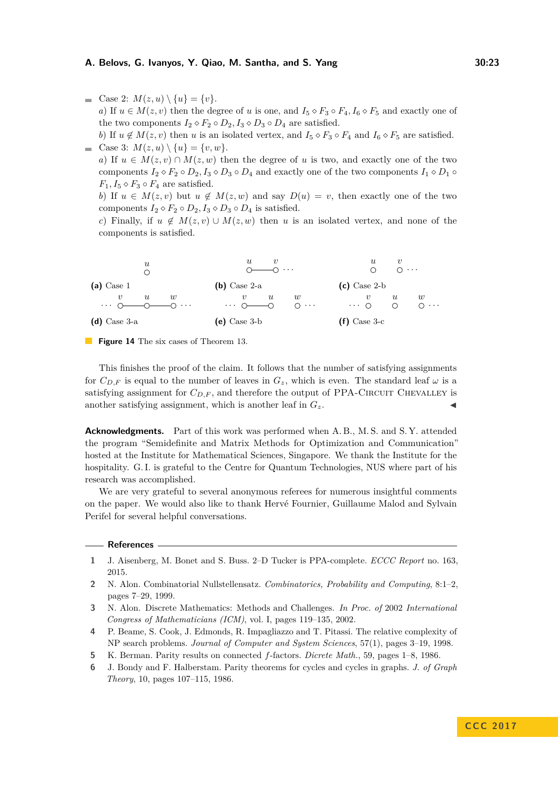Gase 2:  $M(z, u) \setminus \{u\} = \{v\}.$ *a*) If  $u \in M(z, v)$  then the degree of *u* is one, and  $I_5 \diamond F_3 \circ F_4$ ,  $I_6 \diamond F_5$  and exactly one of the two components  $I_2 \diamond F_2 \circ D_2$ ,  $I_3 \diamond D_3 \circ D_4$  are satisfied.

*b*) If  $u \notin M(z, v)$  then *u* is an isolated vertex, and  $I_5 \diamond F_3 \circ F_4$  and  $I_6 \diamond F_5$  are satisfied. Gase 3:  $M(z, u) \setminus \{u\} = \{v, w\}.$ 

*a*) If  $u \in M(z, v) \cap M(z, w)$  then the degree of *u* is two, and exactly one of the two components  $I_2 \diamond F_2 \circ D_2$ ,  $I_3 \diamond D_3 \circ D_4$  and exactly one of the two components  $I_1 \diamond D_1 \circ D_2$  $F_1, I_5 \diamond F_3 \circ F_4$  are satisfied.

*b*) If  $u \in M(z, v)$  but  $u \notin M(z, w)$  and say  $D(u) = v$ , then exactly one of the two components  $I_2 \diamond F_2 \circ D_2$ ,  $I_3 \diamond D_3 \circ D_4$  is satisfied.

*c*) Finally, if  $u \notin M(z, v) \cup M(z, w)$  then *u* is an isolated vertex, and none of the components is satisfied.



**Figure 14** The six cases of Theorem [13.](#page-21-1)

This finishes the proof of the claim. It follows that the number of satisfying assignments for  $C_{D,F}$  is equal to the number of leaves in  $G_z$ , which is even. The standard leaf  $\omega$  is a satisfying assignment for  $C_{D,F}$ , and therefore the output of PPA-CIRCUIT CHEVALLEY is another satisfying assignment, which is another leaf in  $G_z$ .

**Acknowledgments.** Part of this work was performed when A.B., M.S. and S.Y. attended the program "Semidefinite and Matrix Methods for Optimization and Communication" hosted at the Institute for Mathematical Sciences, Singapore. We thank the Institute for the hospitality. G. I. is grateful to the Centre for Quantum Technologies, NUS where part of his research was accomplished.

We are very grateful to several anonymous referees for numerous insightful comments on the paper. We would also like to thank Hervé Fournier, Guillaume Malod and Sylvain Perifel for several helpful conversations.

#### **References**

- <span id="page-22-0"></span>**1** J. Aisenberg, M. Bonet and S. Buss. 2–D Tucker is PPA-complete. *ECCC Report* no. 163, 2015.
- <span id="page-22-3"></span>**2** N. Alon. Combinatorial Nullstellensatz. *Combinatorics, Probability and Computing*, 8:1–2, pages 7–29, 1999.
- <span id="page-22-4"></span>**3** N. Alon. Discrete Mathematics: Methods and Challenges. *In Proc. of* 2002 *International Congress of Mathematicians (ICM)*, vol. I, pages 119–135, 2002.
- **4** P. Beame, S. Cook, J. Edmonds, R. Impagliazzo and T. Pitassi. The relative complexity of NP search problems. *Journal of Computer and System Sciences*, 57(1), pages 3–19, 1998.
- <span id="page-22-2"></span>**5** K. Berman. Parity results on connected *f*-factors. *Dicrete Math.*, 59, pages 1–8, 1986.
- <span id="page-22-1"></span>**6** J. Bondy and F. Halberstam. Parity theorems for cycles and cycles in graphs. *J. of Graph Theory*, 10, pages 107–115, 1986.